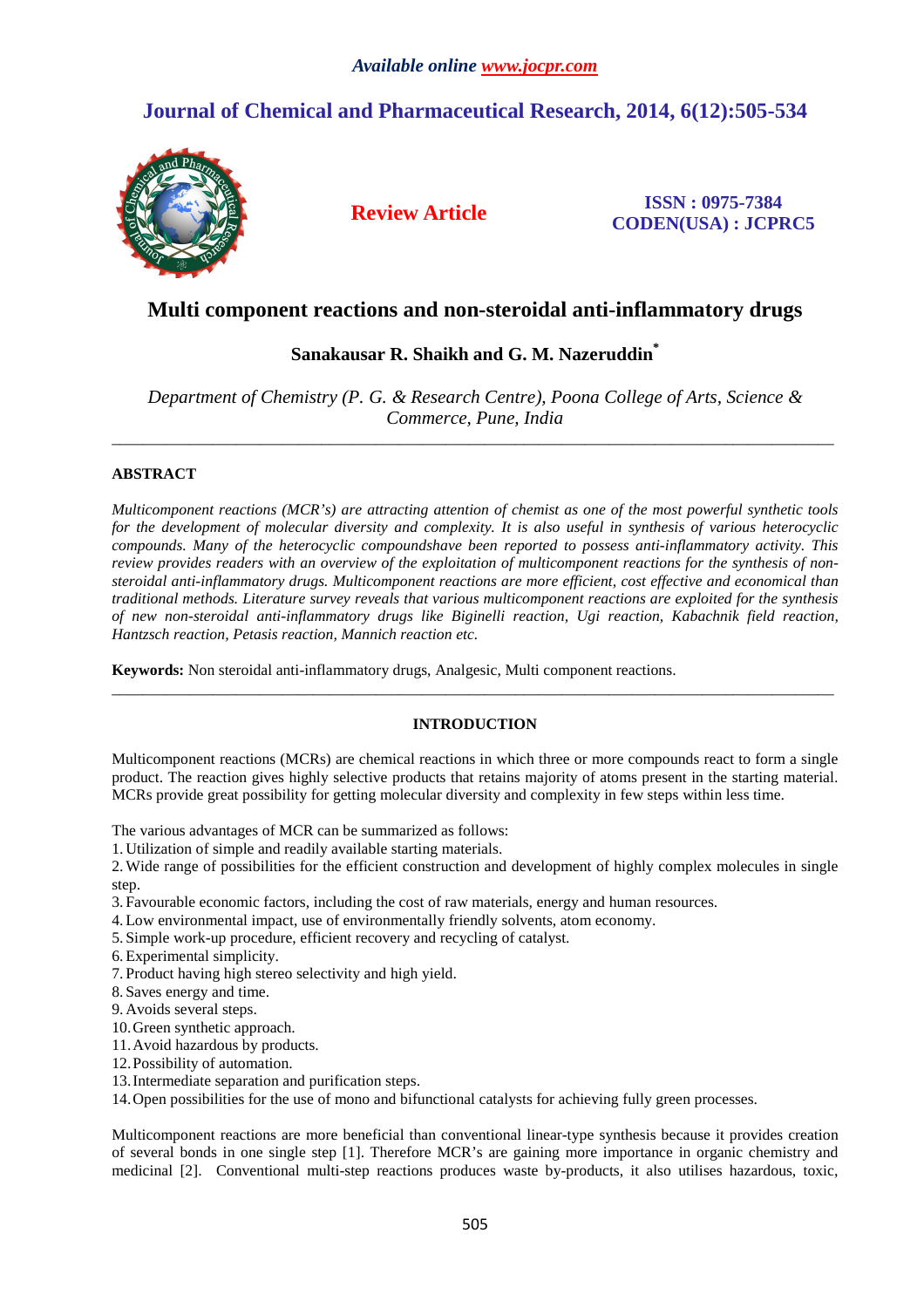# **Journal of Chemical and Pharmaceutical Research, 2014, 6(12):505-534**



**Review Article ISSN : 0975-7384 CODEN(USA) : JCPRC5**

## **Multi component reactions and non-steroidal anti-inflammatory drugs**

## **Sanakausar R. Shaikh and G. M. Nazeruddin\***

*Department of Chemistry (P. G. & Research Centre), Poona College of Arts, Science & Commerce, Pune, India* 

\_\_\_\_\_\_\_\_\_\_\_\_\_\_\_\_\_\_\_\_\_\_\_\_\_\_\_\_\_\_\_\_\_\_\_\_\_\_\_\_\_\_\_\_\_\_\_\_\_\_\_\_\_\_\_\_\_\_\_\_\_\_\_\_\_\_\_\_\_\_\_\_\_\_\_\_\_\_\_\_\_\_\_\_\_\_\_\_\_\_\_\_\_

## **ABSTRACT**

*Multicomponent reactions (MCR's) are attracting attention of chemist as one of the most powerful synthetic tools for the development of molecular diversity and complexity. It is also useful in synthesis of various heterocyclic compounds. Many of the heterocyclic compoundshave been reported to possess anti-inflammatory activity. This review provides readers with an overview of the exploitation of multicomponent reactions for the synthesis of nonsteroidal anti-inflammatory drugs. Multicomponent reactions are more efficient, cost effective and economical than traditional methods. Literature survey reveals that various multicomponent reactions are exploited for the synthesis of new non-steroidal anti-inflammatory drugs like Biginelli reaction, Ugi reaction, Kabachnik field reaction, Hantzsch reaction, Petasis reaction, Mannich reaction etc.* 

**Keywords:** Non steroidal anti-inflammatory drugs, Analgesic, Multi component reactions.

## **INTRODUCTION**

\_\_\_\_\_\_\_\_\_\_\_\_\_\_\_\_\_\_\_\_\_\_\_\_\_\_\_\_\_\_\_\_\_\_\_\_\_\_\_\_\_\_\_\_\_\_\_\_\_\_\_\_\_\_\_\_\_\_\_\_\_\_\_\_\_\_\_\_\_\_\_\_\_\_\_\_\_\_\_\_\_\_\_\_\_\_\_\_\_\_\_\_\_

Multicomponent reactions (MCRs) are chemical reactions in which three or more compounds react to form a single product. The reaction gives highly selective products that retains majority of atoms present in the starting material. MCRs provide great possibility for getting molecular diversity and complexity in few steps within less time.

The various advantages of MCR can be summarized as follows:

1. Utilization of simple and readily available starting materials.

2.Wide range of possibilities for the efficient construction and development of highly complex molecules in single step.

- 3. Favourable economic factors, including the cost of raw materials, energy and human resources.
- 4.Low environmental impact, use of environmentally friendly solvents, atom economy.

5. Simple work-up procedure, efficient recovery and recycling of catalyst.

- 6.Experimental simplicity.
- 7. Product having high stereo selectivity and high yield.
- 8. Saves energy and time.
- 9. Avoids several steps.
- 10.Green synthetic approach.
- 11.Avoid hazardous by products.
- 12.Possibility of automation.
- 13.Intermediate separation and purification steps.

14.Open possibilities for the use of mono and bifunctional catalysts for achieving fully green processes.

Multicomponent reactions are more beneficial than conventional linear-type synthesis because it provides creation of several bonds in one single step [1]. Therefore MCR's are gaining more importance in organic chemistry and medicinal [2]. Conventional multi-step reactions produces waste by-products, it also utilises hazardous, toxic,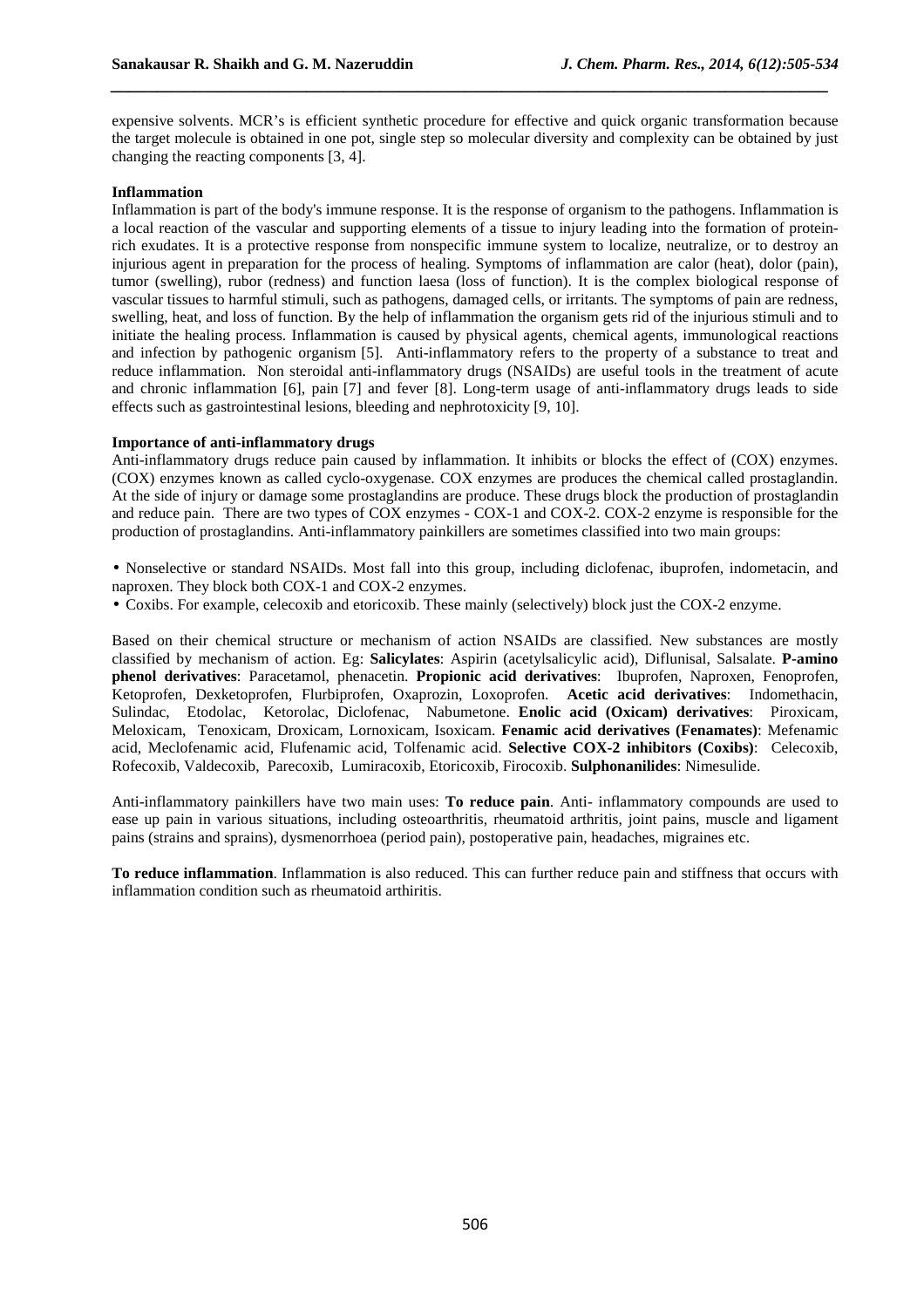expensive solvents. MCR's is efficient synthetic procedure for effective and quick organic transformation because the target molecule is obtained in one pot, single step so molecular diversity and complexity can be obtained by just changing the reacting components [3, 4].

*\_\_\_\_\_\_\_\_\_\_\_\_\_\_\_\_\_\_\_\_\_\_\_\_\_\_\_\_\_\_\_\_\_\_\_\_\_\_\_\_\_\_\_\_\_\_\_\_\_\_\_\_\_\_\_\_\_\_\_\_\_\_\_\_\_\_\_\_\_\_\_\_\_\_\_\_\_*

#### **Inflammation**

Inflammation is part of the body's immune response. It is the response of organism to the pathogens. Inflammation is a local reaction of the vascular and supporting elements of a tissue to injury leading into the formation of proteinrich exudates. It is a protective response from nonspecific immune system to localize, neutralize, or to destroy an injurious agent in preparation for the process of healing. Symptoms of inflammation are calor (heat), dolor (pain), tumor (swelling), rubor (redness) and function laesa (loss of function). It is the complex biological response of vascular tissues to harmful stimuli, such as pathogens, damaged cells, or irritants. The symptoms of pain are redness, swelling, heat, and loss of function. By the help of inflammation the organism gets rid of the injurious stimuli and to initiate the healing process. Inflammation is caused by physical agents, chemical agents, immunological reactions and infection by pathogenic organism [5]. Anti-inflammatory refers to the property of a substance to treat and reduce inflammation. Non steroidal anti-inflammatory drugs (NSAIDs) are useful tools in the treatment of acute and chronic inflammation [6], pain [7] and fever [8]. Long-term usage of anti-inflammatory drugs leads to side effects such as gastrointestinal lesions, bleeding and nephrotoxicity [9, 10].

#### **Importance of anti-inflammatory drugs**

Anti-inflammatory drugs reduce pain caused by inflammation. It inhibits or blocks the effect of (COX) enzymes. (COX) enzymes known as called cyclo-oxygenase. COX enzymes are produces the chemical called prostaglandin. At the side of injury or damage some prostaglandins are produce. These drugs block the production of prostaglandin and reduce pain. There are two types of COX enzymes - COX-1 and COX-2. COX-2 enzyme is responsible for the production of prostaglandins. Anti-inflammatory painkillers are sometimes classified into two main groups:

- Nonselective or standard NSAIDs. Most fall into this group, including diclofenac, ibuprofen, indometacin, and naproxen. They block both COX-1 and COX-2 enzymes.
- Coxibs. For example, celecoxib and etoricoxib. These mainly (selectively) block just the COX-2 enzyme.

Based on their chemical structure or mechanism of action NSAIDs are classified. New substances are mostly classified by mechanism of action. Eg: **Salicylates**: Aspirin (acetylsalicylic acid), Diflunisal, Salsalate. **P-amino phenol derivatives**: Paracetamol, phenacetin. **Propionic acid derivatives**: Ibuprofen, Naproxen, Fenoprofen, Ketoprofen, Dexketoprofen, Flurbiprofen, Oxaprozin, Loxoprofen. **Acetic acid derivatives**: Indomethacin, Sulindac, Etodolac, Ketorolac, Diclofenac, Nabumetone. **Enolic acid (Oxicam) derivatives**: Piroxicam, Meloxicam, Tenoxicam, Droxicam, Lornoxicam, Isoxicam. **Fenamic acid derivatives (Fenamates)**: Mefenamic acid, Meclofenamic acid, Flufenamic acid, Tolfenamic acid. **Selective COX-2 inhibitors (Coxibs)**: Celecoxib, Rofecoxib, Valdecoxib, Parecoxib, Lumiracoxib, Etoricoxib, Firocoxib. **Sulphonanilides**: Nimesulide.

Anti-inflammatory painkillers have two main uses: **To reduce pain**. Anti- inflammatory compounds are used to ease up pain in various situations, including osteoarthritis, rheumatoid arthritis, joint pains, muscle and ligament pains (strains and sprains), dysmenorrhoea (period pain), postoperative pain, headaches, migraines etc.

**To reduce inflammation**. Inflammation is also reduced. This can further reduce pain and stiffness that occurs with inflammation condition such as rheumatoid arthiritis.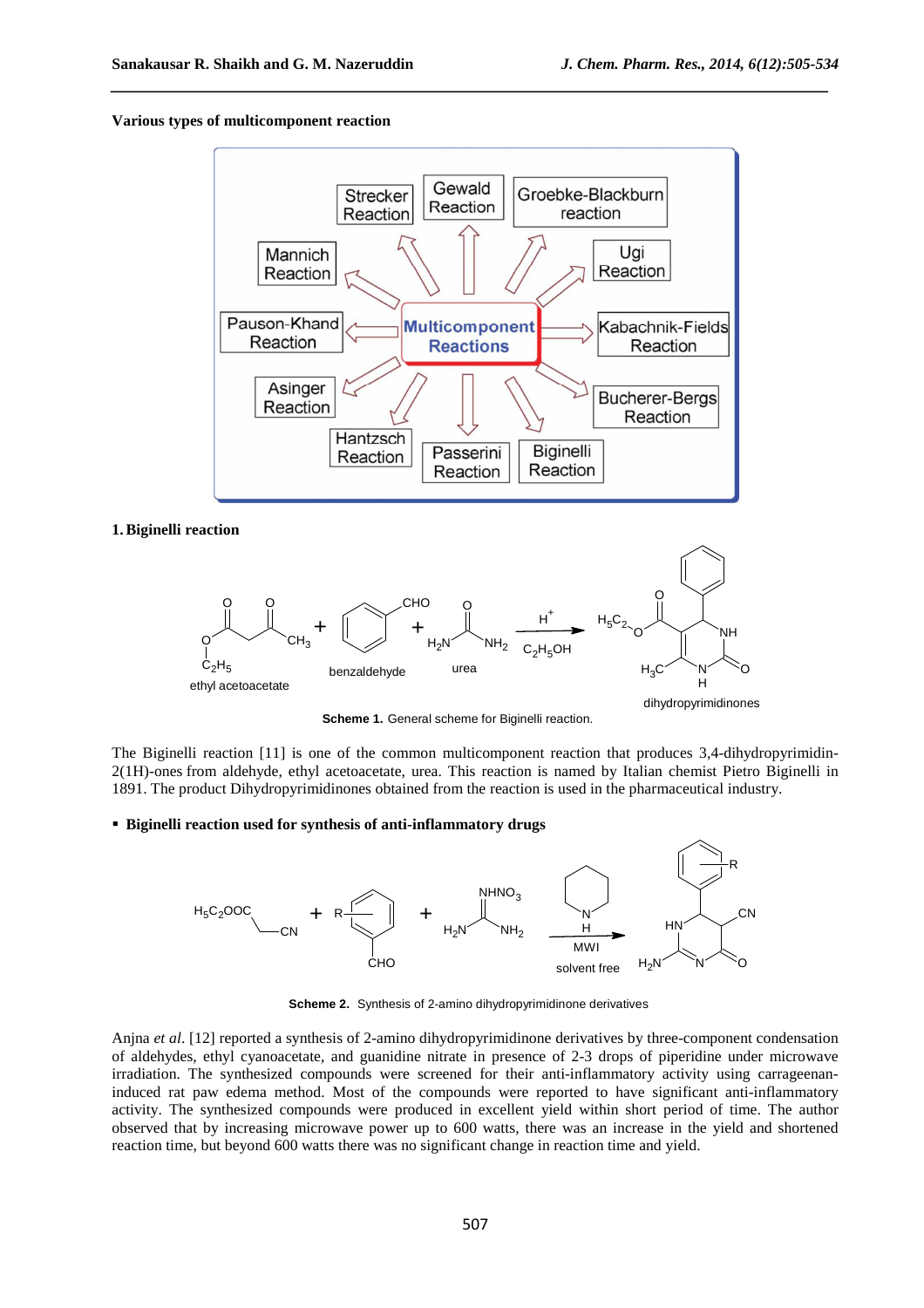## **Various types of multicomponent reaction**



*\_\_\_\_\_\_\_\_\_\_\_\_\_\_\_\_\_\_\_\_\_\_\_\_\_\_\_\_\_\_\_\_\_\_\_\_\_\_\_\_\_\_\_\_\_\_\_\_\_\_\_\_\_\_\_\_\_\_\_\_\_\_\_\_\_\_\_\_\_\_\_\_\_\_\_\_\_*

#### **1.Biginelli reaction**



**Scheme 1.** General scheme for Biginelli reaction.

The Biginelli reaction [11] is one of the common multicomponent reaction that produces 3,4-dihydropyrimidin-2(1H)-ones from aldehyde, ethyl acetoacetate, urea. This reaction is named by Italian chemist Pietro Biginelli in 1891. The product Dihydropyrimidinones obtained from the reaction is used in the pharmaceutical industry.

**Biginelli reaction used for synthesis of anti-inflammatory drugs**



**Scheme 2.** Synthesis of 2-amino dihydropyrimidinone derivatives

Anjna *et al*. [12] reported a synthesis of 2-amino dihydropyrimidinone derivatives by three-component condensation of aldehydes, ethyl cyanoacetate, and guanidine nitrate in presence of 2-3 drops of piperidine under microwave irradiation. The synthesized compounds were screened for their anti-inflammatory activity using carrageenaninduced rat paw edema method. Most of the compounds were reported to have significant anti-inflammatory activity. The synthesized compounds were produced in excellent yield within short period of time. The author observed that by increasing microwave power up to 600 watts, there was an increase in the yield and shortened reaction time, but beyond 600 watts there was no significant change in reaction time and yield.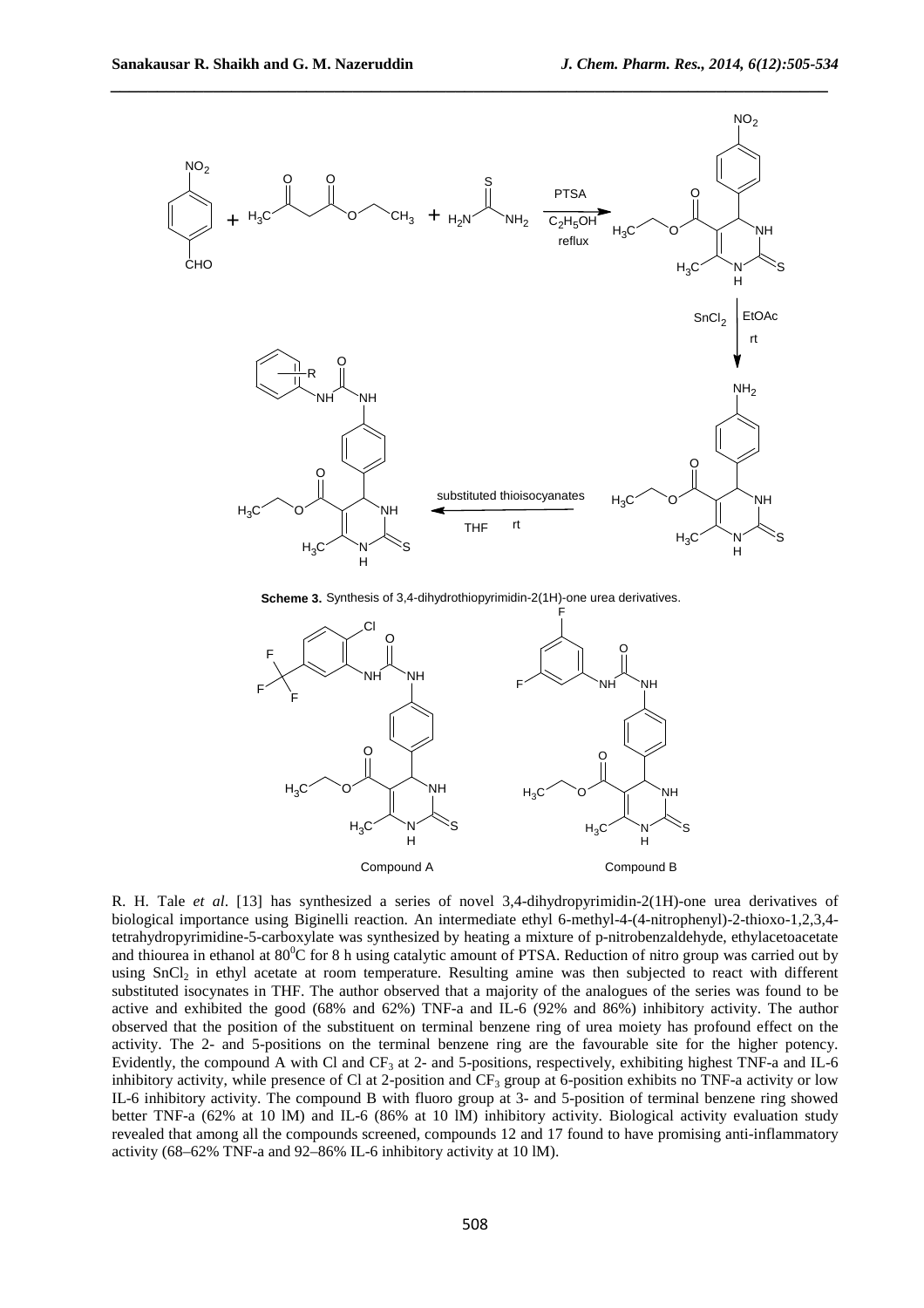

**Scheme 3.** Synthesis of 3,4-dihydrothiopyrimidin-2(1H)-one urea derivatives.



R. H. Tale *et al*. [13] has synthesized a series of novel 3,4-dihydropyrimidin-2(1H)-one urea derivatives of biological importance using Biginelli reaction. An intermediate ethyl 6-methyl-4-(4-nitrophenyl)-2-thioxo-1,2,3,4 tetrahydropyrimidine-5-carboxylate was synthesized by heating a mixture of p-nitrobenzaldehyde, ethylacetoacetate and thiourea in ethanol at  $80^{\circ}$ C for 8 h using catalytic amount of PTSA. Reduction of nitro group was carried out by using SnCl<sub>2</sub> in ethyl acetate at room temperature. Resulting amine was then subjected to react with different substituted isocynates in THF. The author observed that a majority of the analogues of the series was found to be active and exhibited the good (68% and 62%) TNF-a and IL-6 (92% and 86%) inhibitory activity. The author observed that the position of the substituent on terminal benzene ring of urea moiety has profound effect on the activity. The 2- and 5-positions on the terminal benzene ring are the favourable site for the higher potency. Evidently, the compound A with Cl and CF<sub>3</sub> at 2- and 5-positions, respectively, exhibiting highest TNF-a and IL-6 inhibitory activity, while presence of Cl at 2-position and  $CF_3$  group at 6-position exhibits no TNF-a activity or low IL-6 inhibitory activity. The compound B with fluoro group at 3- and 5-position of terminal benzene ring showed better TNF-a (62% at 10 lM) and IL-6 (86% at 10 lM) inhibitory activity. Biological activity evaluation study revealed that among all the compounds screened, compounds 12 and 17 found to have promising anti-inflammatory activity (68–62% TNF-a and 92–86% IL-6 inhibitory activity at 10 lM).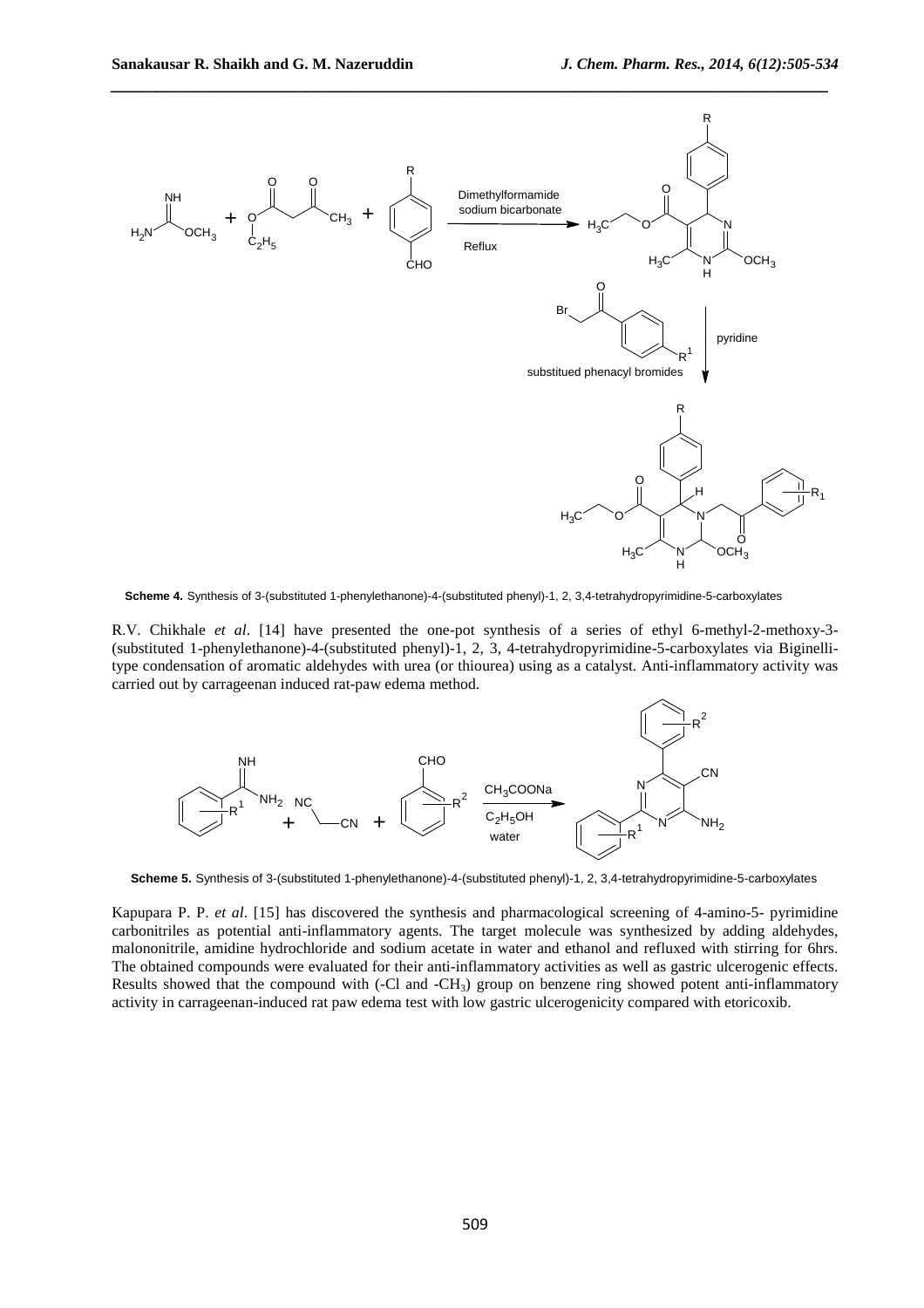

**Scheme 4.** Synthesis of 3-(substituted 1-phenylethanone)-4-(substituted phenyl)-1, 2, 3,4-tetrahydropyrimidine-5-carboxylates

R.V. Chikhale *et al*. [14] have presented the one-pot synthesis of a series of ethyl 6-methyl-2-methoxy-3- (substituted 1-phenylethanone)-4-(substituted phenyl)-1, 2, 3, 4-tetrahydropyrimidine-5-carboxylates via Biginellitype condensation of aromatic aldehydes with urea (or thiourea) using as a catalyst. Anti-inflammatory activity was carried out by carrageenan induced rat-paw edema method.



**Scheme 5.** Synthesis of 3-(substituted 1-phenylethanone)-4-(substituted phenyl)-1, 2, 3,4-tetrahydropyrimidine-5-carboxylates

Kapupara P. P. *et al*. [15] has discovered the synthesis and pharmacological screening of 4-amino-5- pyrimidine carbonitriles as potential anti-inflammatory agents. The target molecule was synthesized by adding aldehydes, malononitrile, amidine hydrochloride and sodium acetate in water and ethanol and refluxed with stirring for 6hrs. The obtained compounds were evaluated for their anti-inflammatory activities as well as gastric ulcerogenic effects. Results showed that the compound with (-Cl and -CH<sub>3</sub>) group on benzene ring showed potent anti-inflammatory activity in carrageenan-induced rat paw edema test with low gastric ulcerogenicity compared with etoricoxib.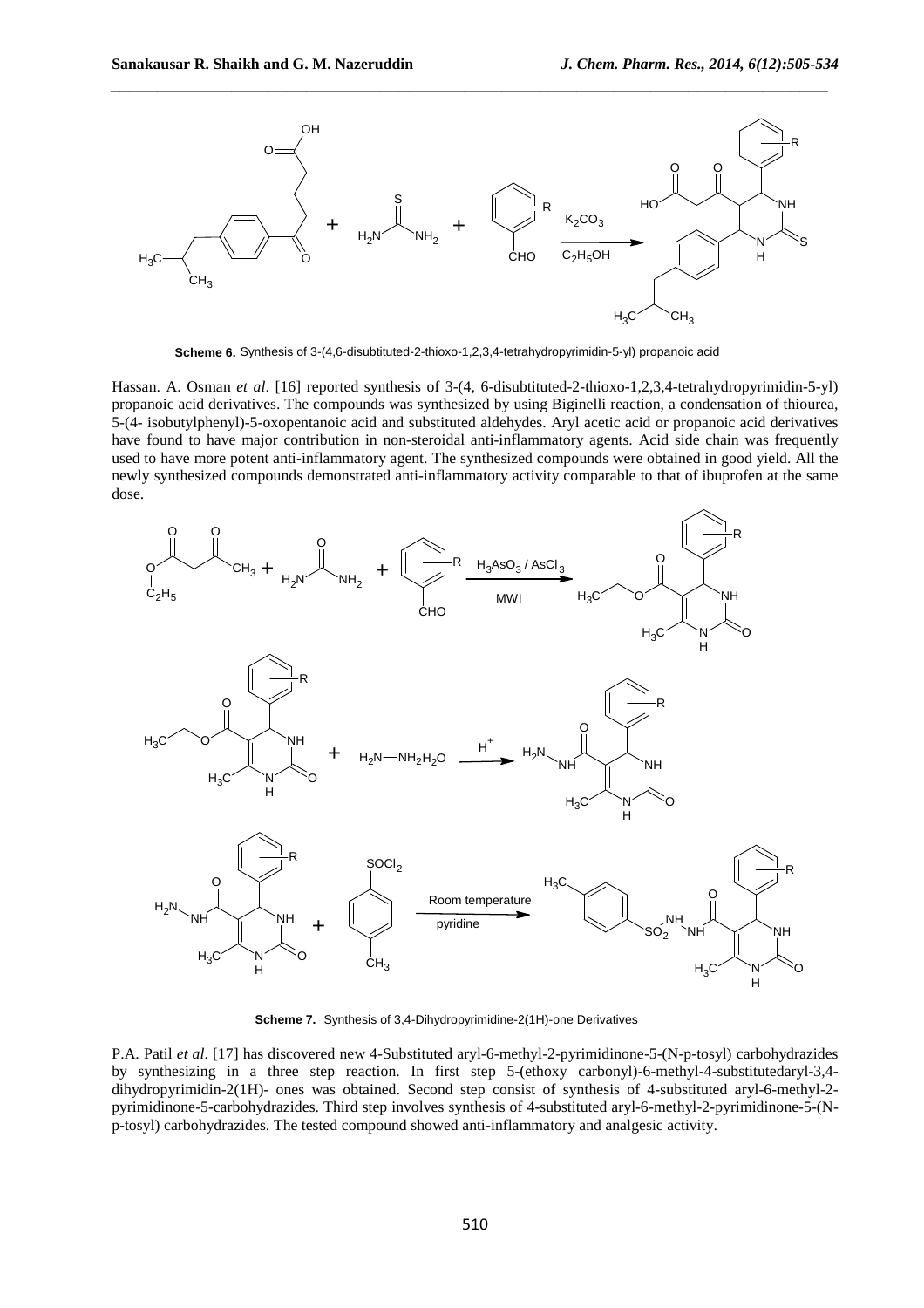

**Scheme 6.** Synthesis of 3-(4,6-disubtituted-2-thioxo-1,2,3,4-tetrahydropyrimidin-5-yl) propanoic acid

Hassan. A. Osman *et al*. [16] reported synthesis of 3-(4, 6-disubtituted-2-thioxo-1,2,3,4-tetrahydropyrimidin-5-yl) propanoic acid derivatives. The compounds was synthesized by using Biginelli reaction, a condensation of thiourea, 5-(4- isobutylphenyl)-5-oxopentanoic acid and substituted aldehydes. Aryl acetic acid or propanoic acid derivatives have found to have major contribution in non-steroidal anti-inflammatory agents. Acid side chain was frequently used to have more potent anti-inflammatory agent. The synthesized compounds were obtained in good yield. All the newly synthesized compounds demonstrated anti-inflammatory activity comparable to that of ibuprofen at the same dose.



**Scheme 7.** Synthesis of 3,4-Dihydropyrimidine-2(1H)-one Derivatives

P.A. Patil *et al*. [17] has discovered new 4-Substituted aryl-6-methyl-2-pyrimidinone-5-(N-p-tosyl) carbohydrazides by synthesizing in a three step reaction. In first step 5-(ethoxy carbonyl)-6-methyl-4-substitutedaryl-3,4 dihydropyrimidin-2(1H)- ones was obtained. Second step consist of synthesis of 4-substituted aryl-6-methyl-2 pyrimidinone-5-carbohydrazides. Third step involves synthesis of 4-substituted aryl-6-methyl-2-pyrimidinone-5-(Np-tosyl) carbohydrazides. The tested compound showed anti-inflammatory and analgesic activity.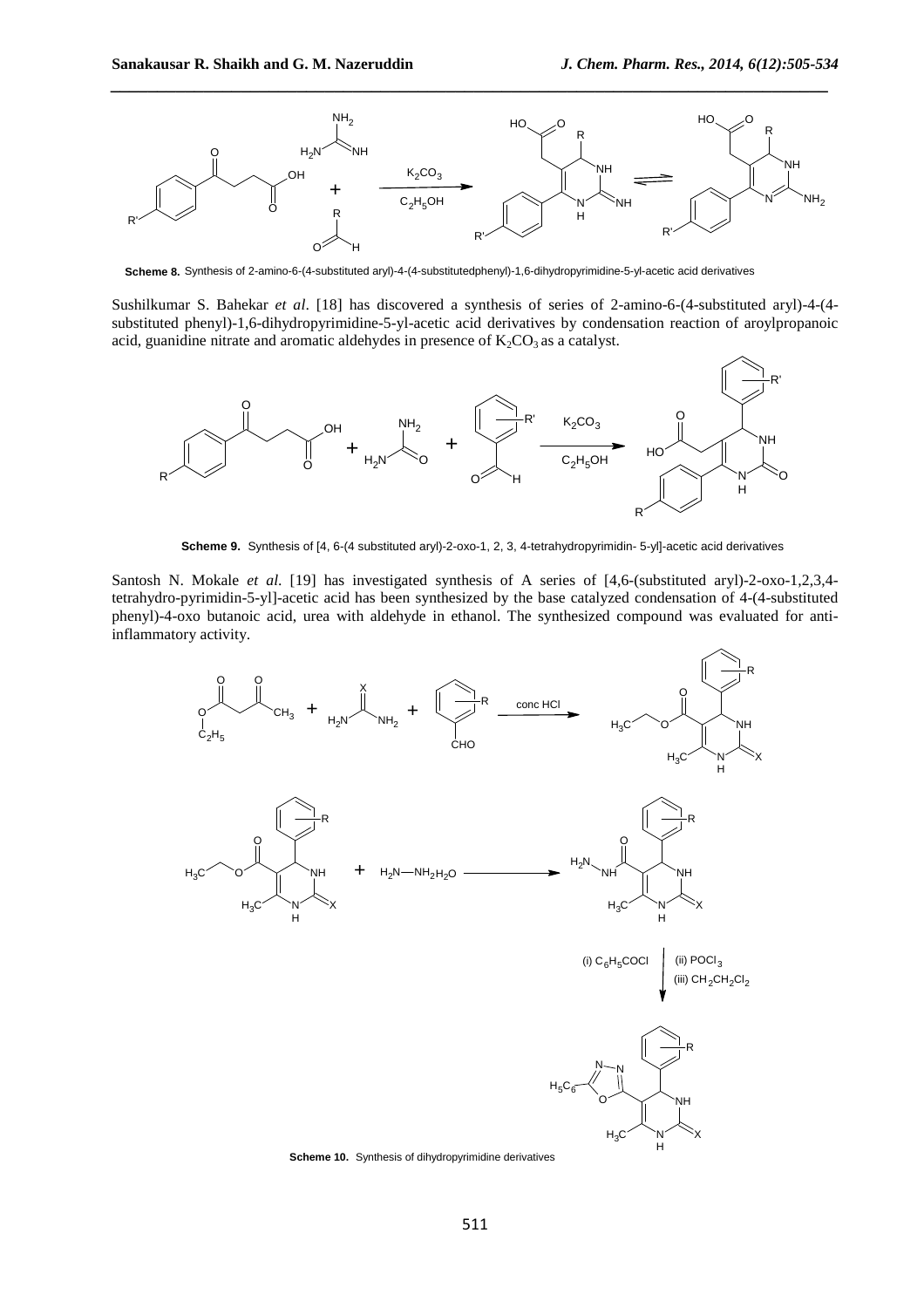

**Scheme 8.** Synthesis of 2-amino-6-(4-substituted aryl)-4-(4-substitutedphenyl)-1,6-dihydropyrimidine-5-yl-acetic acid derivatives

Sushilkumar S. Bahekar *et al*. [18] has discovered a synthesis of series of 2-amino-6-(4-substituted aryl)-4-(4 substituted phenyl)-1,6-dihydropyrimidine-5-yl-acetic acid derivatives by condensation reaction of aroylpropanoic acid, guanidine nitrate and aromatic aldehydes in presence of  $K_2CO_3$  as a catalyst.



**Scheme 9.** Synthesis of [4, 6-(4 substituted aryl)-2-oxo-1, 2, 3, 4-tetrahydropyrimidin- 5-yl]-acetic acid derivatives

Santosh N. Mokale *et al*. [19] has investigated synthesis of A series of [4,6-(substituted aryl)-2-oxo-1,2,3,4 tetrahydro-pyrimidin-5-yl]-acetic acid has been synthesized by the base catalyzed condensation of 4-(4-substituted phenyl)-4-oxo butanoic acid, urea with aldehyde in ethanol. The synthesized compound was evaluated for antiinflammatory activity.



**Scheme 10.** Synthesis of dihydropyrimidine derivatives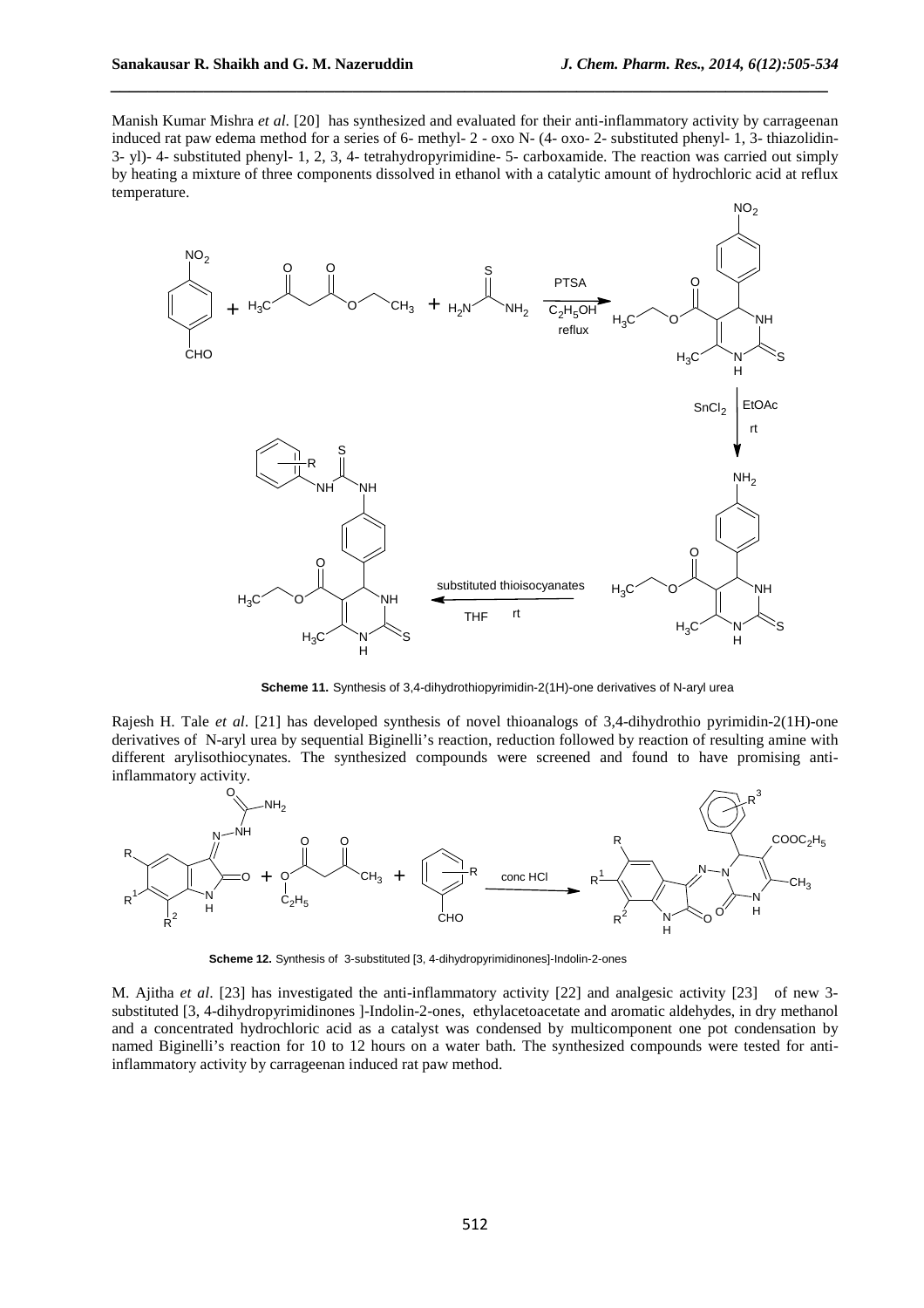Manish Kumar Mishra *et al*. [20] has synthesized and evaluated for their anti-inflammatory activity by carrageenan induced rat paw edema method for a series of 6- methyl- 2 - oxo N- (4- oxo- 2- substituted phenyl- 1, 3- thiazolidin-3- yl)- 4- substituted phenyl- 1, 2, 3, 4- tetrahydropyrimidine- 5- carboxamide. The reaction was carried out simply by heating a mixture of three components dissolved in ethanol with a catalytic amount of hydrochloric acid at reflux temperature.

*\_\_\_\_\_\_\_\_\_\_\_\_\_\_\_\_\_\_\_\_\_\_\_\_\_\_\_\_\_\_\_\_\_\_\_\_\_\_\_\_\_\_\_\_\_\_\_\_\_\_\_\_\_\_\_\_\_\_\_\_\_\_\_\_\_\_\_\_\_\_\_\_\_\_\_\_\_*



**Scheme 11.** Synthesis of 3,4-dihydrothiopyrimidin-2(1H)-one derivatives of N-aryl urea

Rajesh H. Tale *et al*. [21] has developed synthesis of novel thioanalogs of 3,4-dihydrothio pyrimidin-2(1H)-one derivatives of N-aryl urea by sequential Biginelli's reaction, reduction followed by reaction of resulting amine with different arylisothiocynates. The synthesized compounds were screened and found to have promising antiinflammatory activity.



**Scheme 12.** Synthesis of 3-substituted [3, 4-dihydropyrimidinones]-Indolin-2-ones

M. Ajitha *et al*. [23] has investigated the anti-inflammatory activity [22] and analgesic activity [23] of new 3 substituted [3, 4-dihydropyrimidinones ]-Indolin-2-ones, ethylacetoacetate and aromatic aldehydes, in dry methanol and a concentrated hydrochloric acid as a catalyst was condensed by multicomponent one pot condensation by named Biginelli's reaction for 10 to 12 hours on a water bath. The synthesized compounds were tested for antiinflammatory activity by carrageenan induced rat paw method.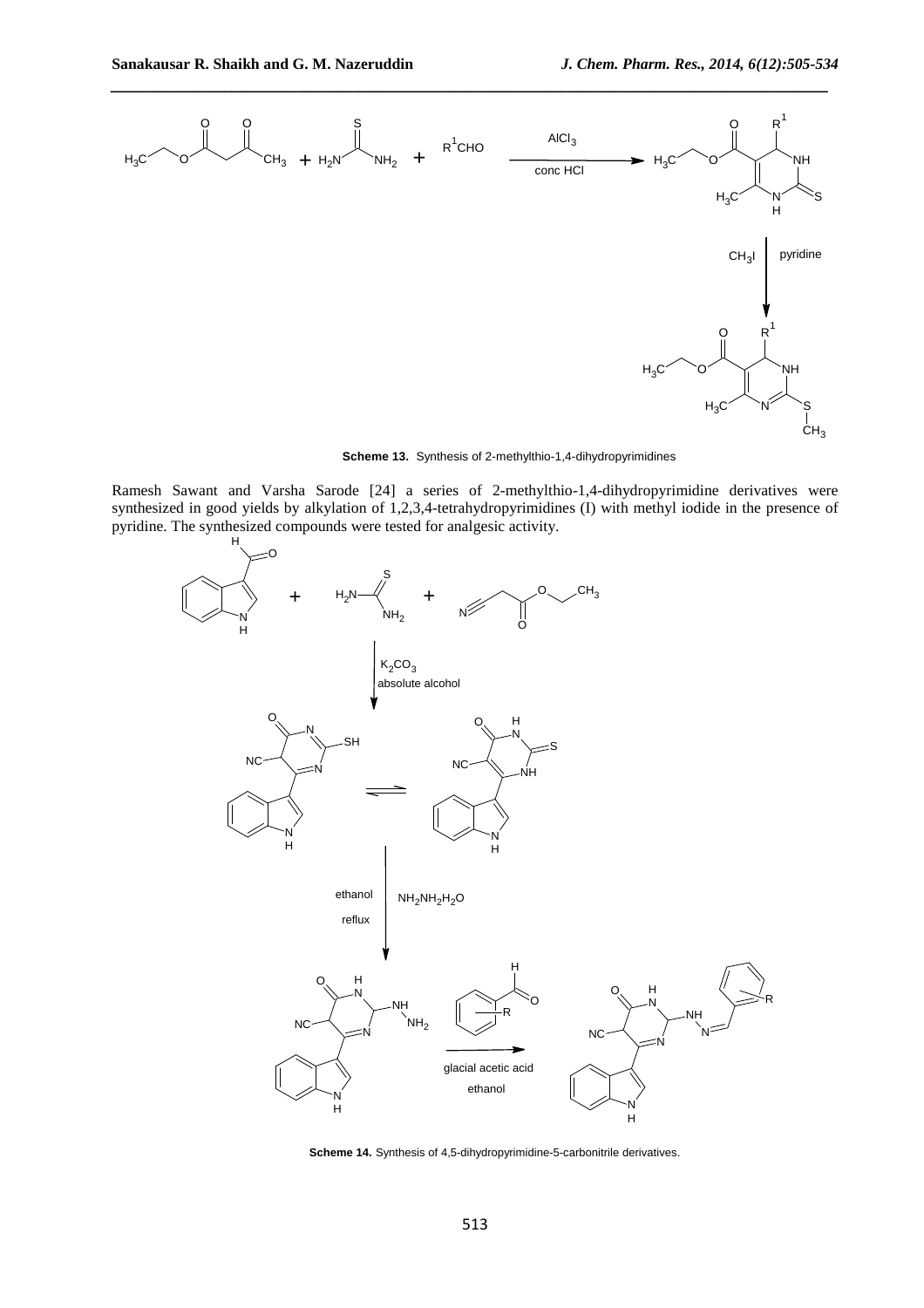

**Scheme 13.** Synthesis of 2-methylthio-1,4-dihydropyrimidines

Ramesh Sawant and Varsha Sarode [24] a series of 2-methylthio-1,4-dihydropyrimidine derivatives were synthesized in good yields by alkylation of 1,2,3,4-tetrahydropyrimidines (I) with methyl iodide in the presence of pyridine. The synthesized compounds were tested for analgesic activity.



**Scheme 14.** Synthesis of 4,5-dihydropyrimidine-5-carbonitrile derivatives.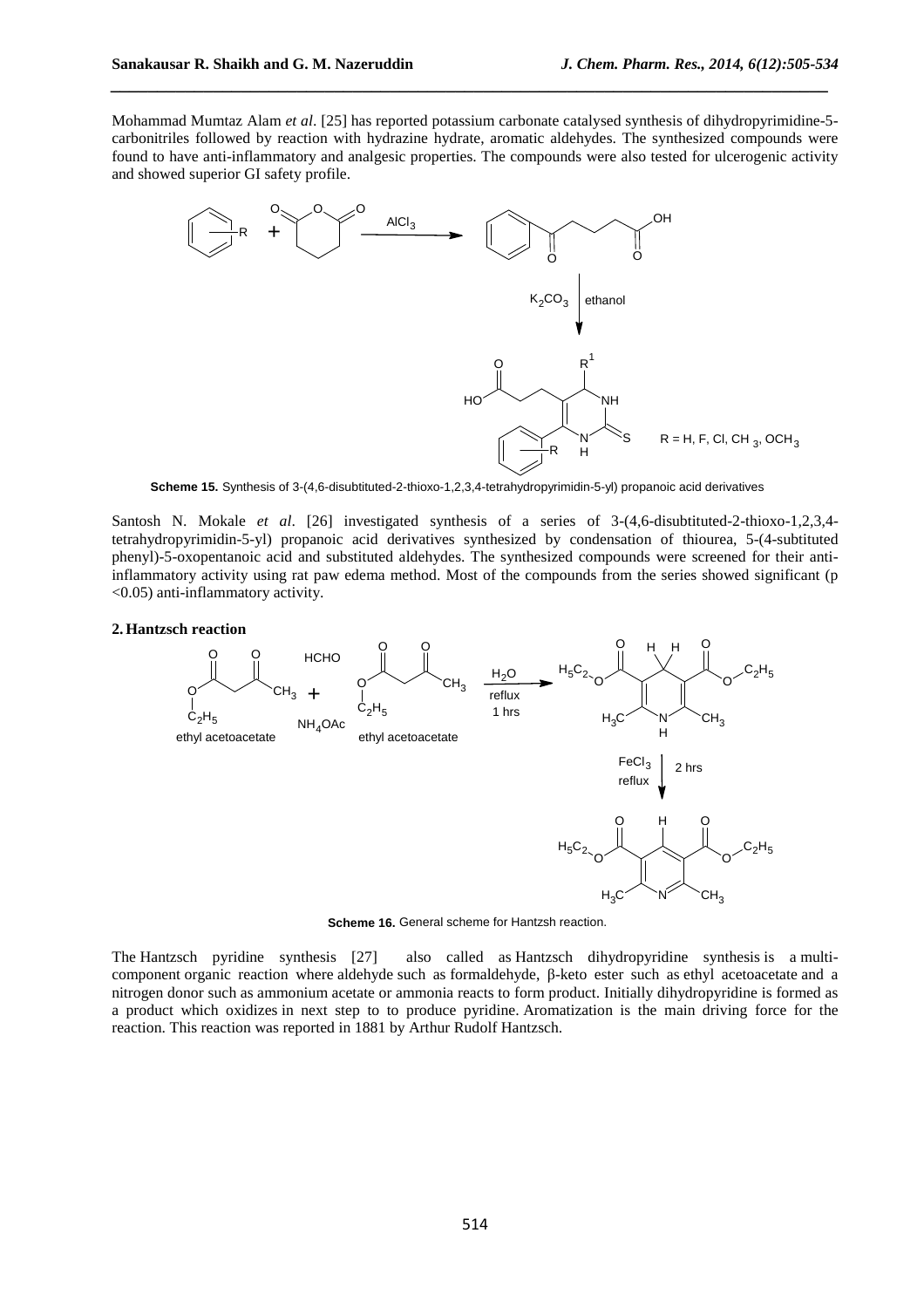Mohammad Mumtaz Alam *et al*. [25] has reported potassium carbonate catalysed synthesis of dihydropyrimidine-5 carbonitriles followed by reaction with hydrazine hydrate, aromatic aldehydes. The synthesized compounds were found to have anti-inflammatory and analgesic properties. The compounds were also tested for ulcerogenic activity and showed superior GI safety profile.

*\_\_\_\_\_\_\_\_\_\_\_\_\_\_\_\_\_\_\_\_\_\_\_\_\_\_\_\_\_\_\_\_\_\_\_\_\_\_\_\_\_\_\_\_\_\_\_\_\_\_\_\_\_\_\_\_\_\_\_\_\_\_\_\_\_\_\_\_\_\_\_\_\_\_\_\_\_*



**Scheme 15.** Synthesis of 3-(4,6-disubtituted-2-thioxo-1,2,3,4-tetrahydropyrimidin-5-yl) propanoic acid derivatives

Santosh N. Mokale *et al*. [26] investigated synthesis of a series of 3-(4,6-disubtituted-2-thioxo-1,2,3,4 tetrahydropyrimidin-5-yl) propanoic acid derivatives synthesized by condensation of thiourea, 5-(4-subtituted phenyl)-5-oxopentanoic acid and substituted aldehydes. The synthesized compounds were screened for their antiinflammatory activity using rat paw edema method. Most of the compounds from the series showed significant (p <0.05) anti-inflammatory activity.

#### **2.Hantzsch reaction**



**Scheme 16.** General scheme for Hantzsh reaction.

The Hantzsch pyridine synthesis [27] also called as Hantzsch dihydropyridine synthesis is a multicomponent organic reaction where aldehyde such as formaldehyde, β-keto ester such as ethyl acetoacetate and a nitrogen donor such as ammonium acetate or ammonia reacts to form product. Initially dihydropyridine is formed as a product which oxidizes in next step to to produce pyridine. Aromatization is the main driving force for the reaction. This reaction was reported in 1881 by Arthur Rudolf Hantzsch.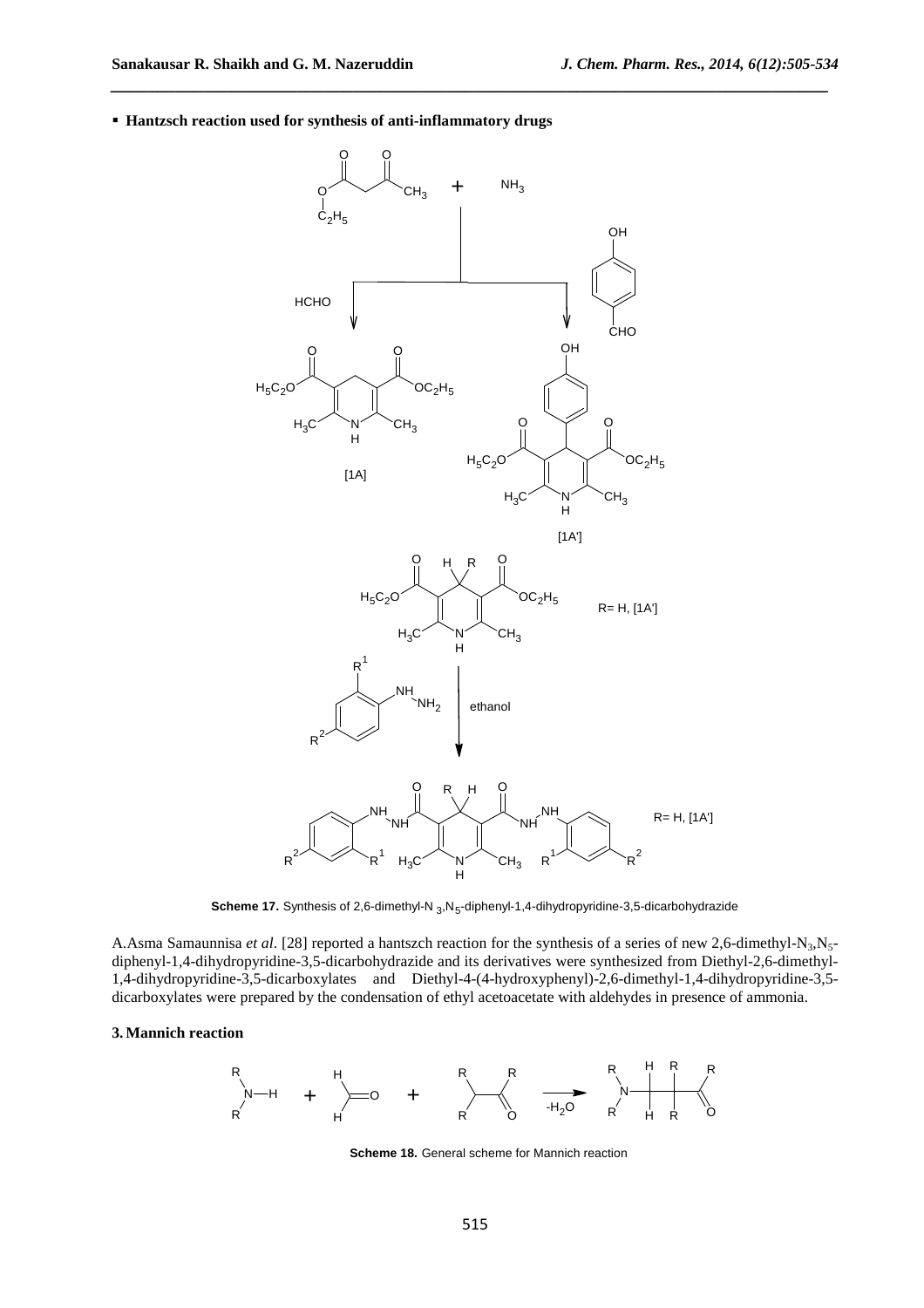**Hantzsch reaction used for synthesis of anti-inflammatory drugs**



*\_\_\_\_\_\_\_\_\_\_\_\_\_\_\_\_\_\_\_\_\_\_\_\_\_\_\_\_\_\_\_\_\_\_\_\_\_\_\_\_\_\_\_\_\_\_\_\_\_\_\_\_\_\_\_\_\_\_\_\_\_\_\_\_\_\_\_\_\_\_\_\_\_\_\_\_\_*

Scheme 17. Synthesis of 2,6-dimethyl-N <sub>3</sub>,N<sub>5</sub>-diphenyl-1,4-dihydropyridine-3,5-dicarbohydrazide

A.Asma Samaunnisa *et al.* [28] reported a hantszch reaction for the synthesis of a series of new 2,6-dimethyl-N<sub>3</sub>,N<sub>5</sub>diphenyl-1,4-dihydropyridine-3,5-dicarbohydrazide and its derivatives were synthesized from Diethyl-2,6-dimethyl-1,4-dihydropyridine-3,5-dicarboxylates and Diethyl-4-(4-hydroxyphenyl)-2,6-dimethyl-1,4-dihydropyridine-3,5 dicarboxylates were prepared by the condensation of ethyl acetoacetate with aldehydes in presence of ammonia.

## **3.Mannich reaction**



**Scheme 18.** General scheme for Mannich reaction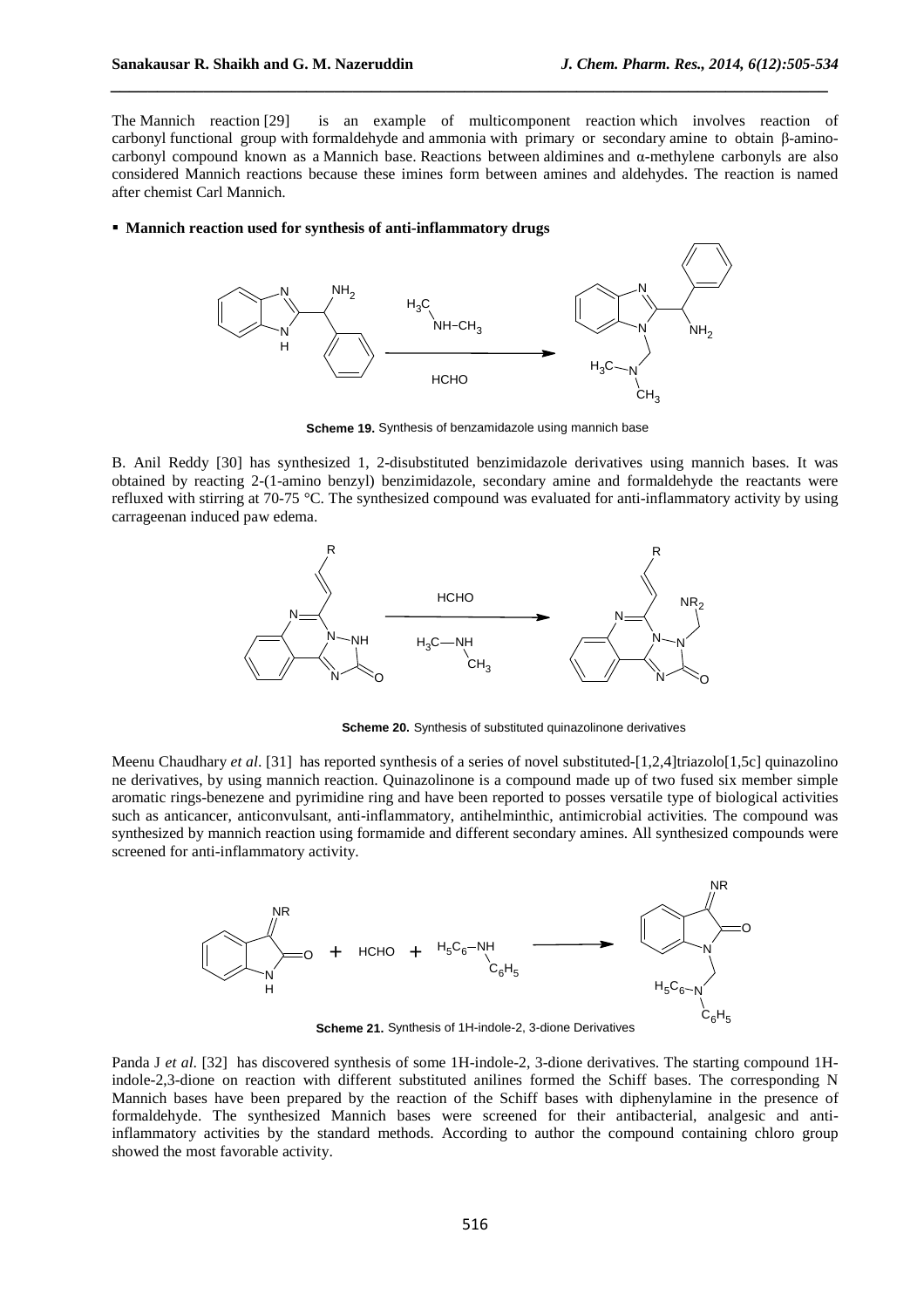The Mannich reaction [29] is an example of multicomponent reaction which involves reaction of carbonyl functional group with formaldehyde and ammonia with primary or secondary amine to obtain β-aminocarbonyl compound known as a Mannich base. Reactions between aldimines and  $\alpha$ -methylene carbonyls are also considered Mannich reactions because these imines form between amines and aldehydes. The reaction is named after chemist Carl Mannich.

*\_\_\_\_\_\_\_\_\_\_\_\_\_\_\_\_\_\_\_\_\_\_\_\_\_\_\_\_\_\_\_\_\_\_\_\_\_\_\_\_\_\_\_\_\_\_\_\_\_\_\_\_\_\_\_\_\_\_\_\_\_\_\_\_\_\_\_\_\_\_\_\_\_\_\_\_\_*

## **Mannich reaction used for synthesis of anti-inflammatory drugs**



**Scheme 19.** Synthesis of benzamidazole using mannich base

B. Anil Reddy [30] has synthesized 1, 2-disubstituted benzimidazole derivatives using mannich bases. It was obtained by reacting 2-(1-amino benzyl) benzimidazole, secondary amine and formaldehyde the reactants were refluxed with stirring at 70-75 °C. The synthesized compound was evaluated for anti-inflammatory activity by using carrageenan induced paw edema.



**Scheme 20.** Synthesis of substituted quinazolinone derivatives

Meenu Chaudhary *et al.* [31] has reported synthesis of a series of novel substituted-[1,2,4]triazolo[1,5c] quinazolino ne derivatives, by using mannich reaction. Quinazolinone is a compound made up of two fused six member simple aromatic rings-benezene and pyrimidine ring and have been reported to posses versatile type of biological activities such as anticancer, anticonvulsant, anti-inflammatory, antihelminthic, antimicrobial activities. The compound was synthesized by mannich reaction using formamide and different secondary amines. All synthesized compounds were screened for anti-inflammatory activity.



**Scheme 21.** Synthesis of 1H-indole-2, 3-dione Derivatives

Panda J *et al*. [32] has discovered synthesis of some 1H-indole-2, 3-dione derivatives. The starting compound 1Hindole-2,3-dione on reaction with different substituted anilines formed the Schiff bases. The corresponding N Mannich bases have been prepared by the reaction of the Schiff bases with diphenylamine in the presence of formaldehyde. The synthesized Mannich bases were screened for their antibacterial, analgesic and antiinflammatory activities by the standard methods. According to author the compound containing chloro group showed the most favorable activity.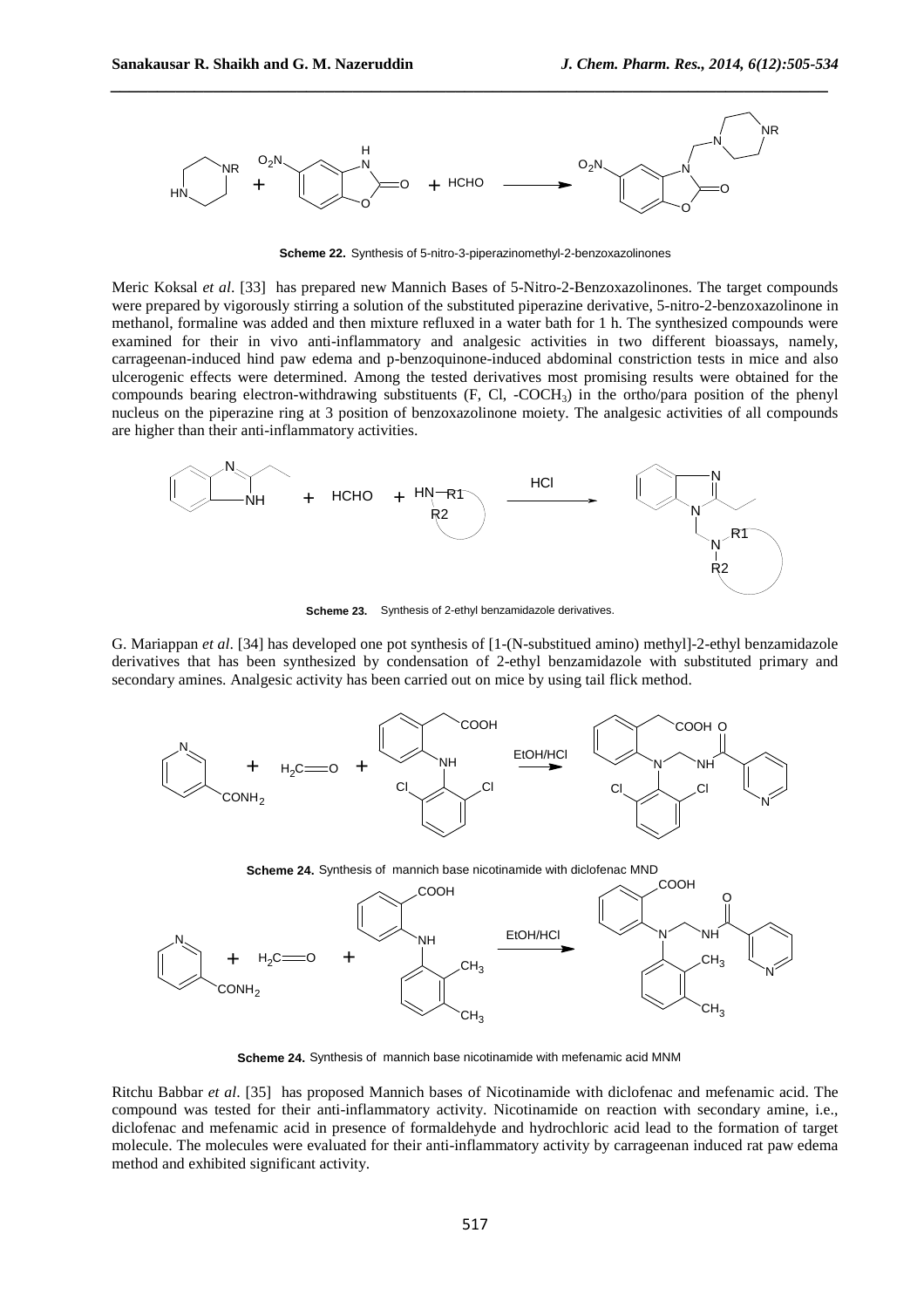$COMH<sub>2</sub>$ 

N

 $CH<sub>3</sub>$ 



*\_\_\_\_\_\_\_\_\_\_\_\_\_\_\_\_\_\_\_\_\_\_\_\_\_\_\_\_\_\_\_\_\_\_\_\_\_\_\_\_\_\_\_\_\_\_\_\_\_\_\_\_\_\_\_\_\_\_\_\_\_\_\_\_\_\_\_\_\_\_\_\_\_\_\_\_\_*

**Scheme 22.** Synthesis of 5-nitro-3-piperazinomethyl-2-benzoxazolinones

Meric Koksal *et al*. [33] has prepared new Mannich Bases of 5-Nitro-2-Benzoxazolinones. The target compounds were prepared by vigorously stirring a solution of the substituted piperazine derivative, 5-nitro-2-benzoxazolinone in methanol, formaline was added and then mixture refluxed in a water bath for 1 h. The synthesized compounds were examined for their in vivo anti-inflammatory and analgesic activities in two different bioassays, namely, carrageenan-induced hind paw edema and p-benzoquinone-induced abdominal constriction tests in mice and also ulcerogenic effects were determined. Among the tested derivatives most promising results were obtained for the compounds bearing electron-withdrawing substituents (F, Cl, -COCH3) in the ortho/para position of the phenyl nucleus on the piperazine ring at 3 position of benzoxazolinone moiety. The analgesic activities of all compounds are higher than their anti-inflammatory activities.



**Scheme 23.** Synthesis of 2-ethyl benzamidazole derivatives.

G. Mariappan *et al*. [34] has developed one pot synthesis of [1-(N-substitued amino) methyl]-2-ethyl benzamidazole derivatives that has been synthesized by condensation of 2-ethyl benzamidazole with substituted primary and secondary amines. Analgesic activity has been carried out on mice by using tail flick method.



**Scheme 24.** Synthesis of mannich base nicotinamide with mefenamic acid MNM

 $CH<sub>3</sub>$ 

Ritchu Babbar *et al*. [35] has proposed Mannich bases of Nicotinamide with diclofenac and mefenamic acid. The compound was tested for their anti-inflammatory activity. Nicotinamide on reaction with secondary amine, i.e., diclofenac and mefenamic acid in presence of formaldehyde and hydrochloric acid lead to the formation of target molecule. The molecules were evaluated for their anti-inflammatory activity by carrageenan induced rat paw edema method and exhibited significant activity.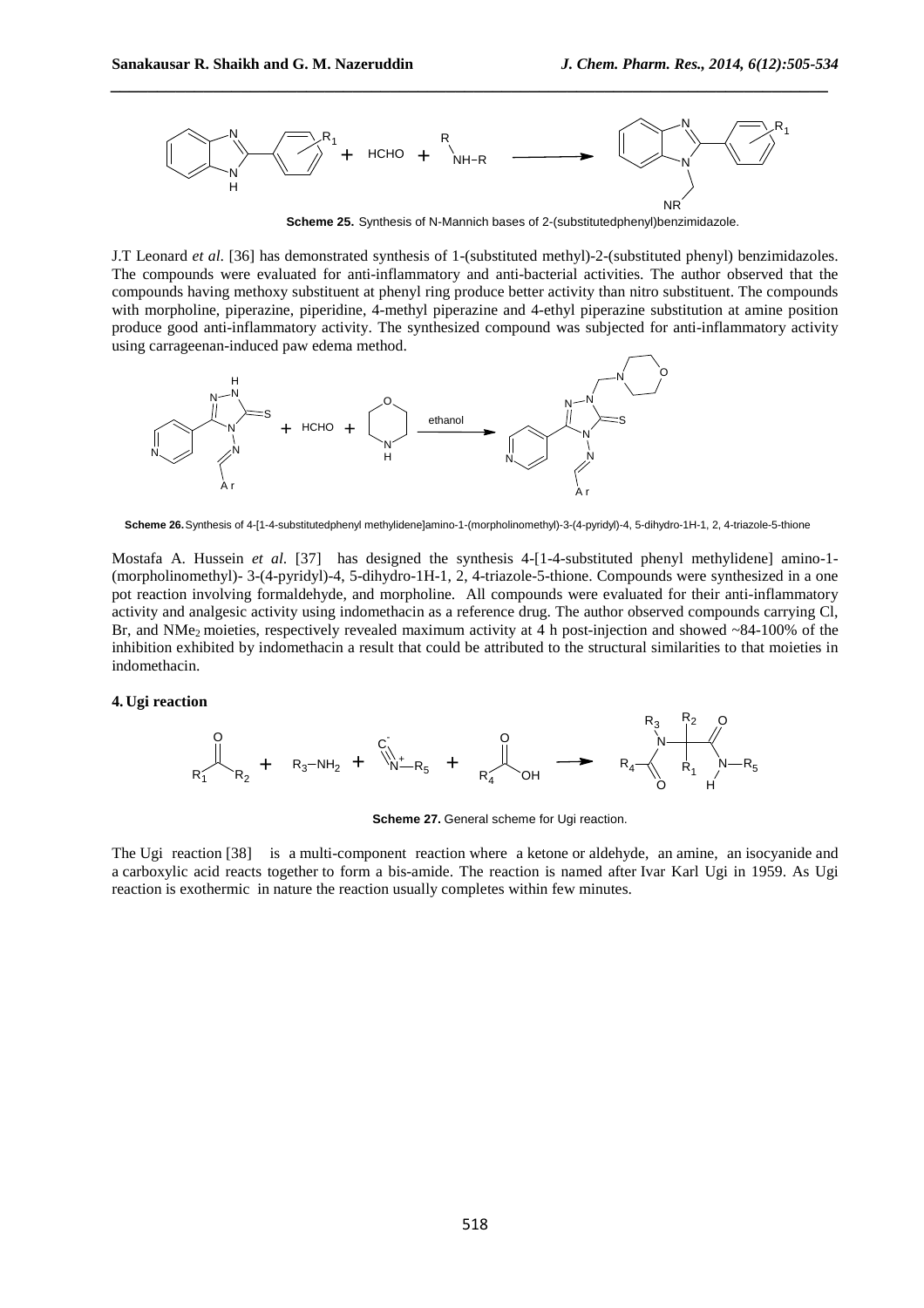

**Scheme 25.** Synthesis of N-Mannich bases of 2-(substitutedphenyl)benzimidazole.

J.T Leonard *et al*. [36] has demonstrated synthesis of 1-(substituted methyl)-2-(substituted phenyl) benzimidazoles. The compounds were evaluated for anti-inflammatory and anti-bacterial activities. The author observed that the compounds having methoxy substituent at phenyl ring produce better activity than nitro substituent. The compounds with morpholine, piperazine, piperidine, 4-methyl piperazine and 4-ethyl piperazine substitution at amine position produce good anti-inflammatory activity. The synthesized compound was subjected for anti-inflammatory activity using carrageenan-induced paw edema method.



**Scheme 26.**Synthesis of 4-[1-4-substitutedphenyl methylidene]amino-1-(morpholinomethyl)-3-(4-pyridyl)-4, 5-dihydro-1H-1, 2, 4-triazole-5-thione

Mostafa A. Hussein *et al*. [37] has designed the synthesis 4-[1-4-substituted phenyl methylidene] amino-1- (morpholinomethyl)- 3-(4-pyridyl)-4, 5-dihydro-1H-1, 2, 4-triazole-5-thione. Compounds were synthesized in a one pot reaction involving formaldehyde, and morpholine. All compounds were evaluated for their anti-inflammatory activity and analgesic activity using indomethacin as a reference drug. The author observed compounds carrying Cl, Br, and NMe<sub>2</sub> moieties, respectively revealed maximum activity at 4 h post-injection and showed  $\sim$ 84-100% of the inhibition exhibited by indomethacin a result that could be attributed to the structural similarities to that moieties in indomethacin.

#### **4. Ugi reaction**



**Scheme 27.** General scheme for Ugi reaction.

The Ugi reaction [38] is a multi-component reaction where a ketone or aldehyde, an amine, an isocyanide and a carboxylic acid reacts together to form a bis-amide. The reaction is named after Ivar Karl Ugi in 1959. As Ugi reaction is exothermic in nature the reaction usually completes within few minutes.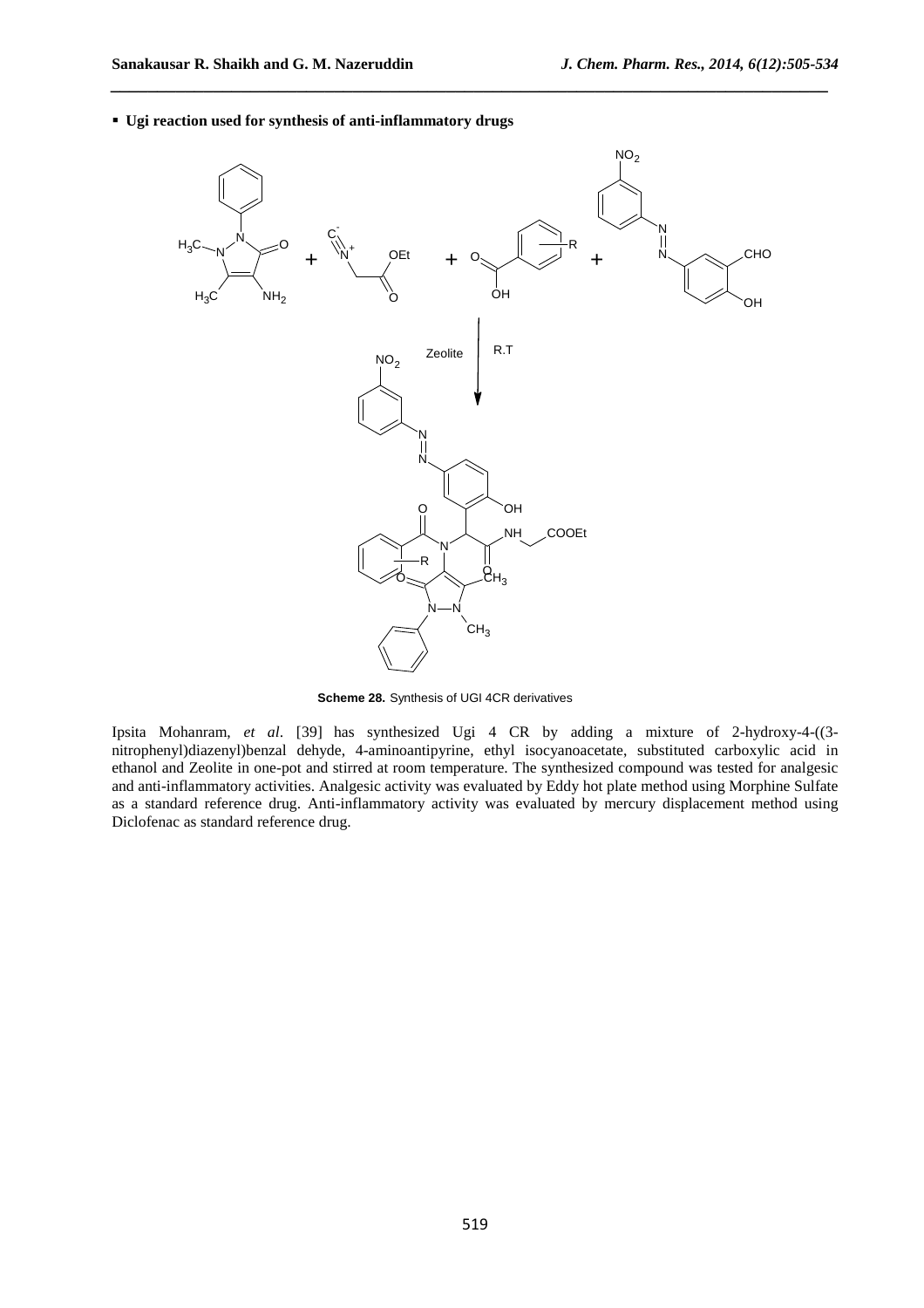



**Scheme 28.** Synthesis of UGI 4CR derivatives

Ipsita Mohanram, *et al*. [39] has synthesized Ugi 4 CR by adding a mixture of 2-hydroxy-4-((3 nitrophenyl)diazenyl)benzal dehyde, 4-aminoantipyrine, ethyl isocyanoacetate, substituted carboxylic acid in ethanol and Zeolite in one-pot and stirred at room temperature. The synthesized compound was tested for analgesic and anti-inflammatory activities. Analgesic activity was evaluated by Eddy hot plate method using Morphine Sulfate as a standard reference drug. Anti-inflammatory activity was evaluated by mercury displacement method using Diclofenac as standard reference drug.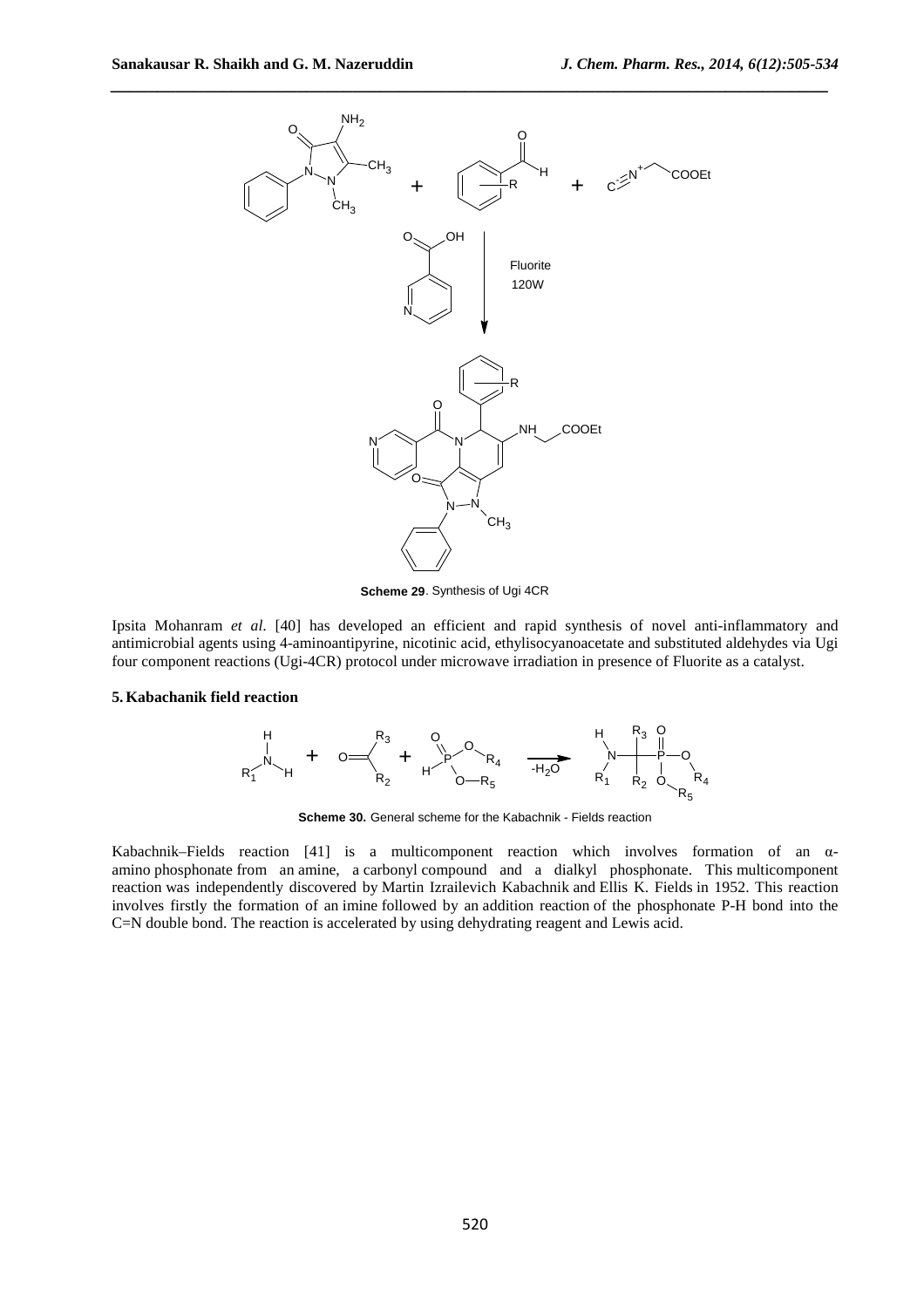

**Scheme 29**. Synthesis of Ugi 4CR

Ipsita Mohanram *et al*. [40] has developed an efficient and rapid synthesis of novel anti-inflammatory and antimicrobial agents using 4-aminoantipyrine, nicotinic acid, ethylisocyanoacetate and substituted aldehydes via Ugi four component reactions (Ugi-4CR) protocol under microwave irradiation in presence of Fluorite as a catalyst.

#### **5.Kabachanik field reaction**



**Scheme 30.** General scheme for the Kabachnik - Fields reaction

Kabachnik–Fields reaction [41] is a multicomponent reaction which involves formation of an αamino phosphonate from an amine, a carbonyl compound and a dialkyl phosphonate. This multicomponent reaction was independently discovered by Martin Izrailevich Kabachnik and Ellis K. Fields in 1952. This reaction involves firstly the formation of an imine followed by an addition reaction of the phosphonate P-H bond into the C=N double bond. The reaction is accelerated by using dehydrating reagent and Lewis acid.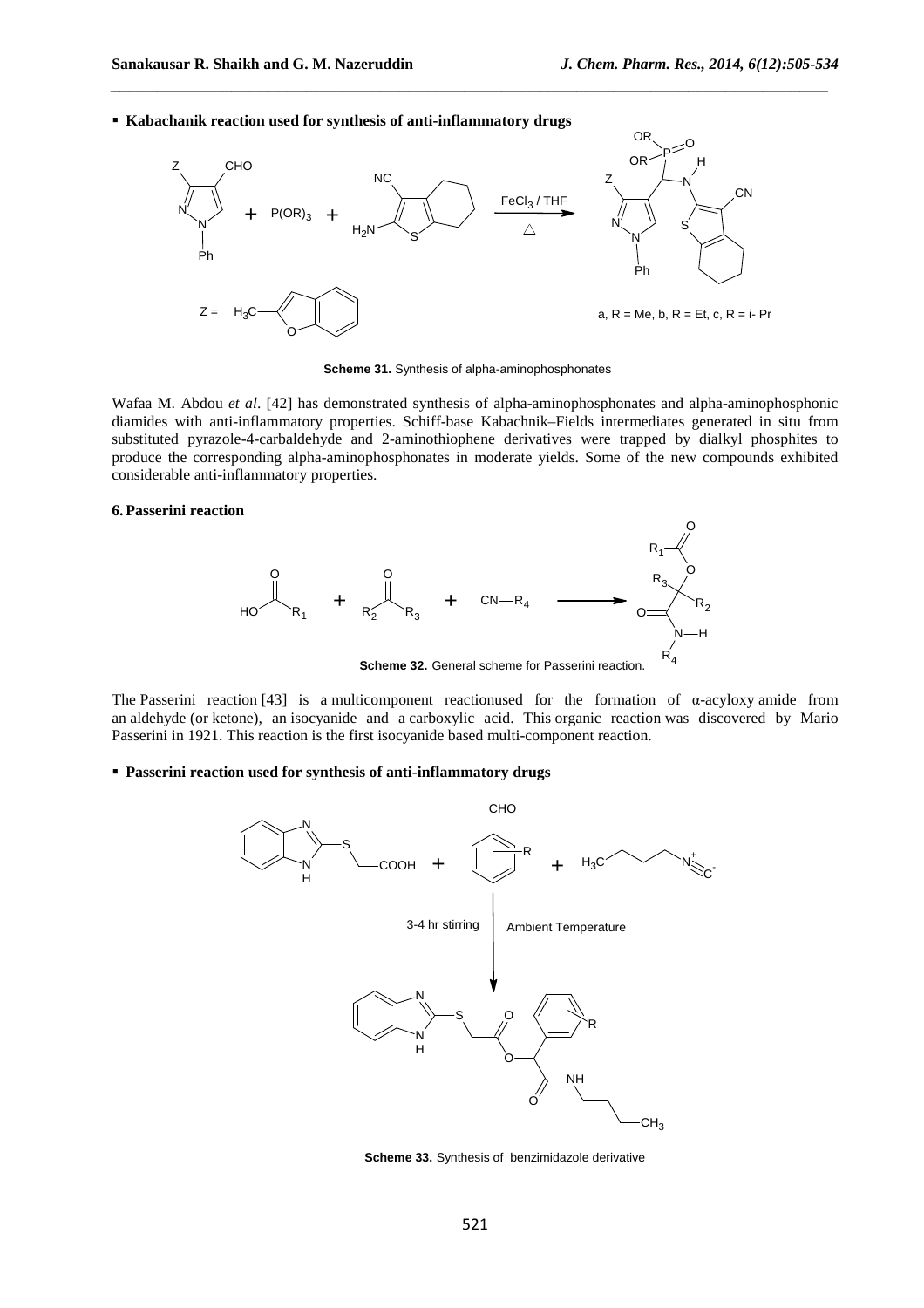**Kabachanik reaction used for synthesis of anti-inflammatory drugs**



*\_\_\_\_\_\_\_\_\_\_\_\_\_\_\_\_\_\_\_\_\_\_\_\_\_\_\_\_\_\_\_\_\_\_\_\_\_\_\_\_\_\_\_\_\_\_\_\_\_\_\_\_\_\_\_\_\_\_\_\_\_\_\_\_\_\_\_\_\_\_\_\_\_\_\_\_\_*

**Scheme 31.** Synthesis of alpha-aminophosphonates

Wafaa M. Abdou *et al*. [42] has demonstrated synthesis of alpha-aminophosphonates and alpha-aminophosphonic diamides with anti-inflammatory properties. Schiff-base Kabachnik–Fields intermediates generated in situ from substituted pyrazole-4-carbaldehyde and 2-aminothiophene derivatives were trapped by dialkyl phosphites to produce the corresponding alpha-aminophosphonates in moderate yields. Some of the new compounds exhibited considerable anti-inflammatory properties.

## **6.Passerini reaction**



**Scheme 32.** General scheme for Passerini reaction.

The Passerini reaction [43] is a multicomponent reactionused for the formation of α-acyloxy amide from an aldehyde (or ketone), an isocyanide and a carboxylic acid. This organic reaction was discovered by Mario Passerini in 1921. This reaction is the first isocyanide based multi-component reaction.

## **Passerini reaction used for synthesis of anti-inflammatory drugs**



**Scheme 33.** Synthesis of benzimidazole derivative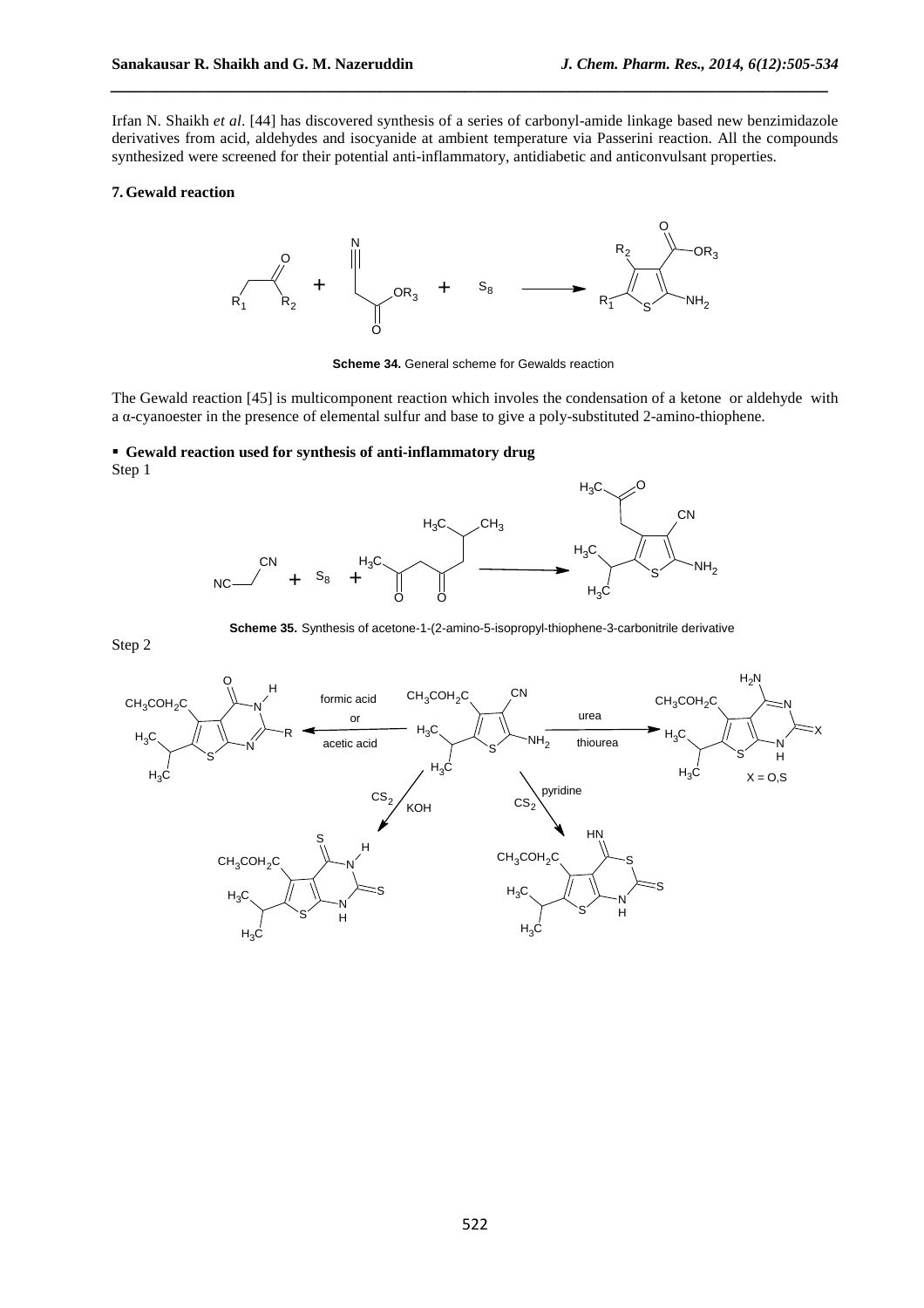Irfan N. Shaikh *et al*. [44] has discovered synthesis of a series of carbonyl-amide linkage based new benzimidazole derivatives from acid, aldehydes and isocyanide at ambient temperature via Passerini reaction. All the compounds synthesized were screened for their potential anti-inflammatory, antidiabetic and anticonvulsant properties.

*\_\_\_\_\_\_\_\_\_\_\_\_\_\_\_\_\_\_\_\_\_\_\_\_\_\_\_\_\_\_\_\_\_\_\_\_\_\_\_\_\_\_\_\_\_\_\_\_\_\_\_\_\_\_\_\_\_\_\_\_\_\_\_\_\_\_\_\_\_\_\_\_\_\_\_\_\_*

## **7.Gewald reaction**



**Scheme 34.** General scheme for Gewalds reaction

The Gewald reaction [45] is multicomponent reaction which involes the condensation of a ketone or aldehyde with a α-cyanoester in the presence of elemental sulfur and base to give a poly-substituted 2-amino-thiophene.

#### **Gewald reaction used for synthesis of anti-inflammatory drug** Step 1



**Scheme 35.** Synthesis of acetone-1-(2-amino-5-isopropyl-thiophene-3-carbonitrile derivative

Step 2

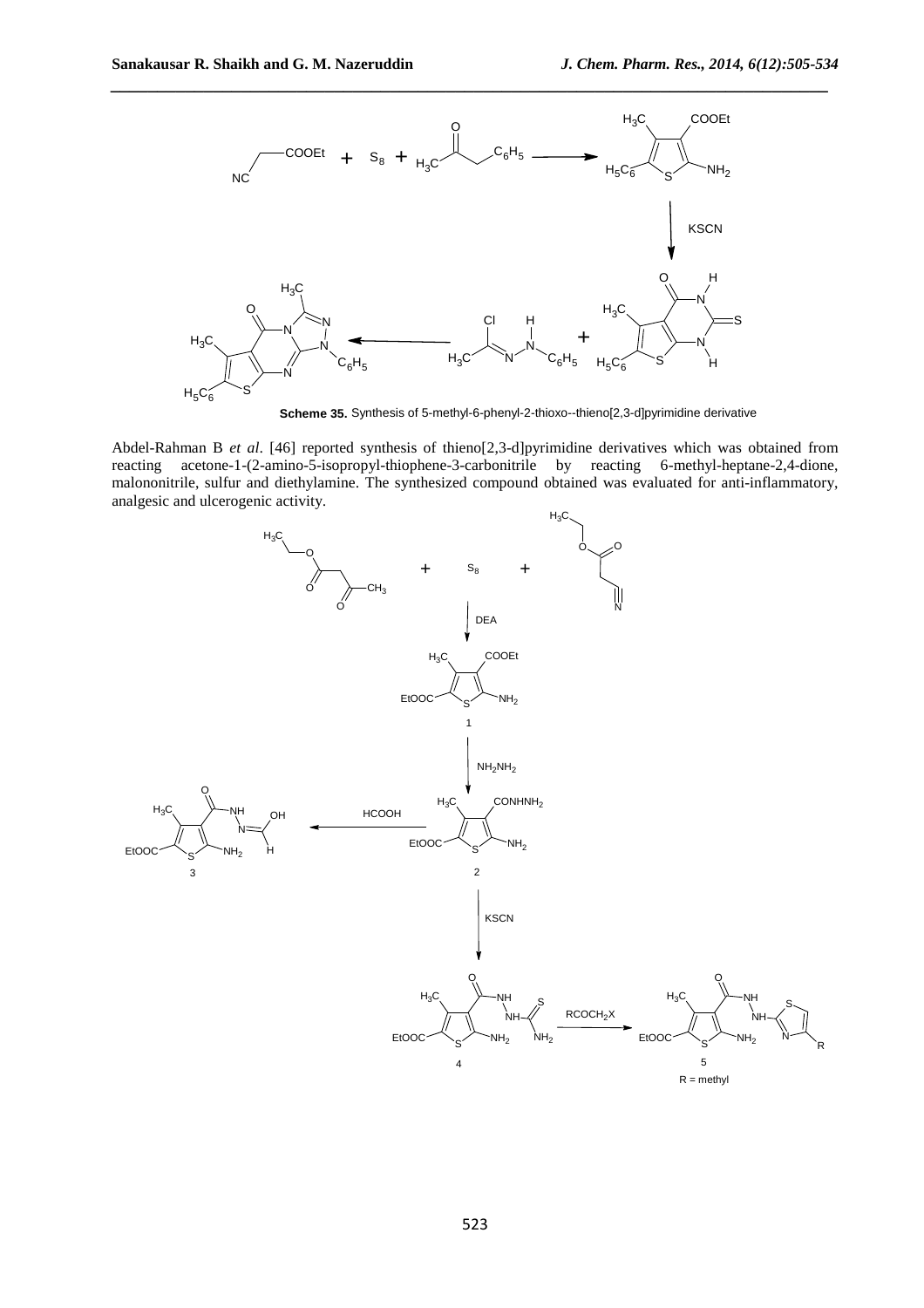

**Scheme 35.** Synthesis of 5-methyl-6-phenyl-2-thioxo--thieno[2,3-d]pyrimidine derivative

Abdel-Rahman B *et al*. [46] reported synthesis of thieno[2,3-d]pyrimidine derivatives which was obtained from reacting acetone-1-(2-amino-5-isopropyl-thiophene-3-carbonitrile by reacting 6-methyl-heptane-2,4-dione, malononitrile, sulfur and diethylamine. The synthesized compound obtained was evaluated for anti-inflammatory, analgesic and ulcerogenic activity.

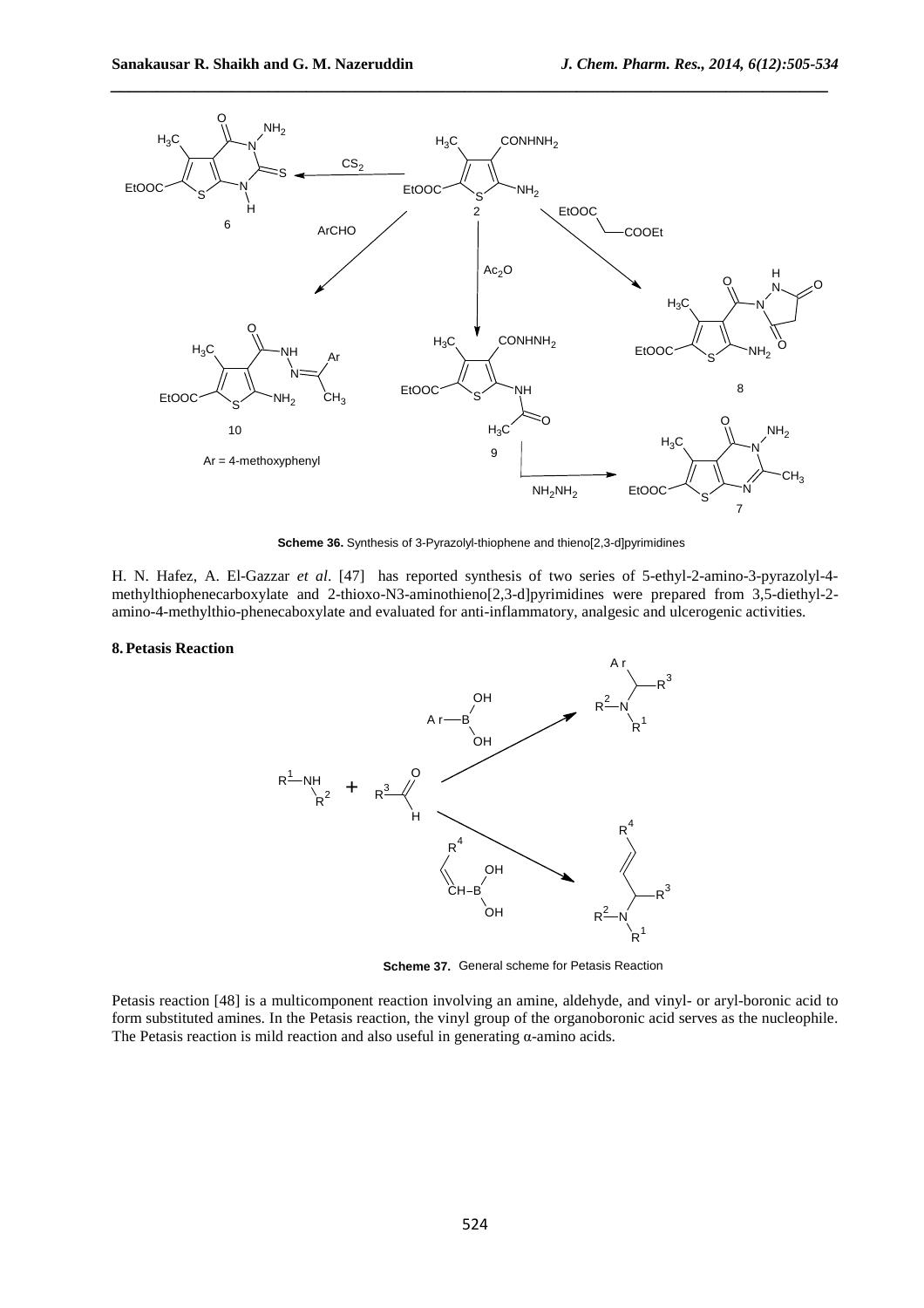

**Scheme 36.** Synthesis of 3-Pyrazolyl-thiophene and thieno[2,3-d]pyrimidines

H. N. Hafez, A. El-Gazzar *et al*. [47] has reported synthesis of two series of 5-ethyl-2-amino-3-pyrazolyl-4 methylthiophenecarboxylate and 2-thioxo-N3-aminothieno[2,3-d]pyrimidines were prepared from 3,5-diethyl-2 amino-4-methylthio-phenecaboxylate and evaluated for anti-inflammatory, analgesic and ulcerogenic activities.

#### **8.Petasis Reaction**



**Scheme 37.** General scheme for Petasis Reaction

Petasis reaction [48] is a multicomponent reaction involving an amine, aldehyde, and vinyl- or aryl-boronic acid to form substituted amines. In the Petasis reaction, the vinyl group of the organoboronic acid serves as the nucleophile. The Petasis reaction is mild reaction and also useful in generating α-amino acids.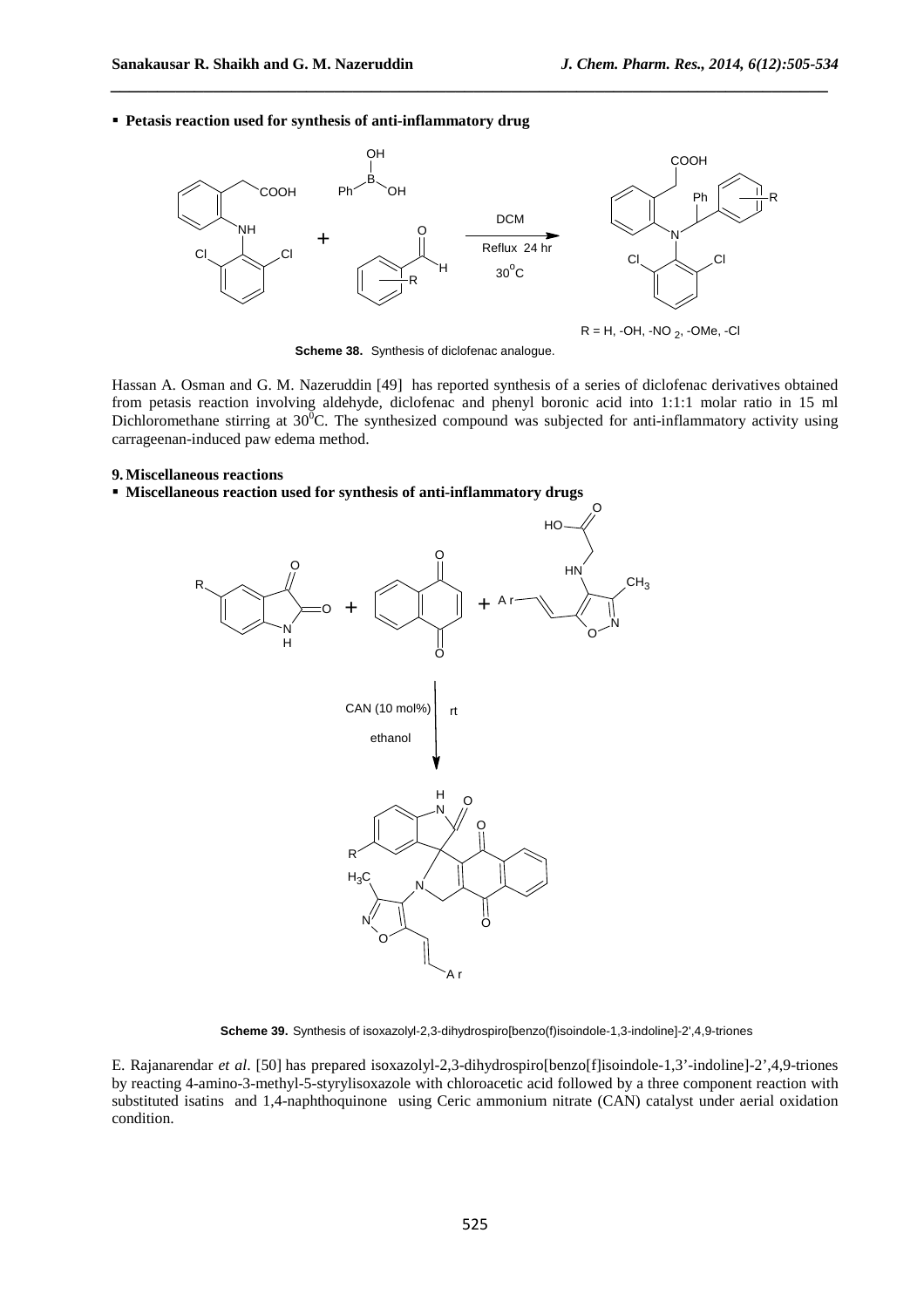**Petasis reaction used for synthesis of anti-inflammatory drug**



*\_\_\_\_\_\_\_\_\_\_\_\_\_\_\_\_\_\_\_\_\_\_\_\_\_\_\_\_\_\_\_\_\_\_\_\_\_\_\_\_\_\_\_\_\_\_\_\_\_\_\_\_\_\_\_\_\_\_\_\_\_\_\_\_\_\_\_\_\_\_\_\_\_\_\_\_\_*

**Scheme 38.** Synthesis of diclofenac analogue.

Hassan A. Osman and G. M. Nazeruddin [49] has reported synthesis of a series of diclofenac derivatives obtained from petasis reaction involving aldehyde, diclofenac and phenyl boronic acid into 1:1:1 molar ratio in 15 ml Dichloromethane stirring at  $30^{\circ}$ C. The synthesized compound was subjected for anti-inflammatory activity using carrageenan-induced paw edema method.

#### **9.Miscellaneous reactions**

## **Miscellaneous reaction used for synthesis of anti-inflammatory drugs**



**Scheme 39.** Synthesis of isoxazolyl-2,3-dihydrospiro[benzo(f)isoindole-1,3-indoline]-2',4,9-triones

E. Rajanarendar *et al*. [50] has prepared isoxazolyl-2,3-dihydrospiro[benzo[f]isoindole-1,3'-indoline]-2',4,9-triones by reacting 4-amino-3-methyl-5-styrylisoxazole with chloroacetic acid followed by a three component reaction with substituted isatins and 1,4-naphthoquinone using Ceric ammonium nitrate (CAN) catalyst under aerial oxidation condition.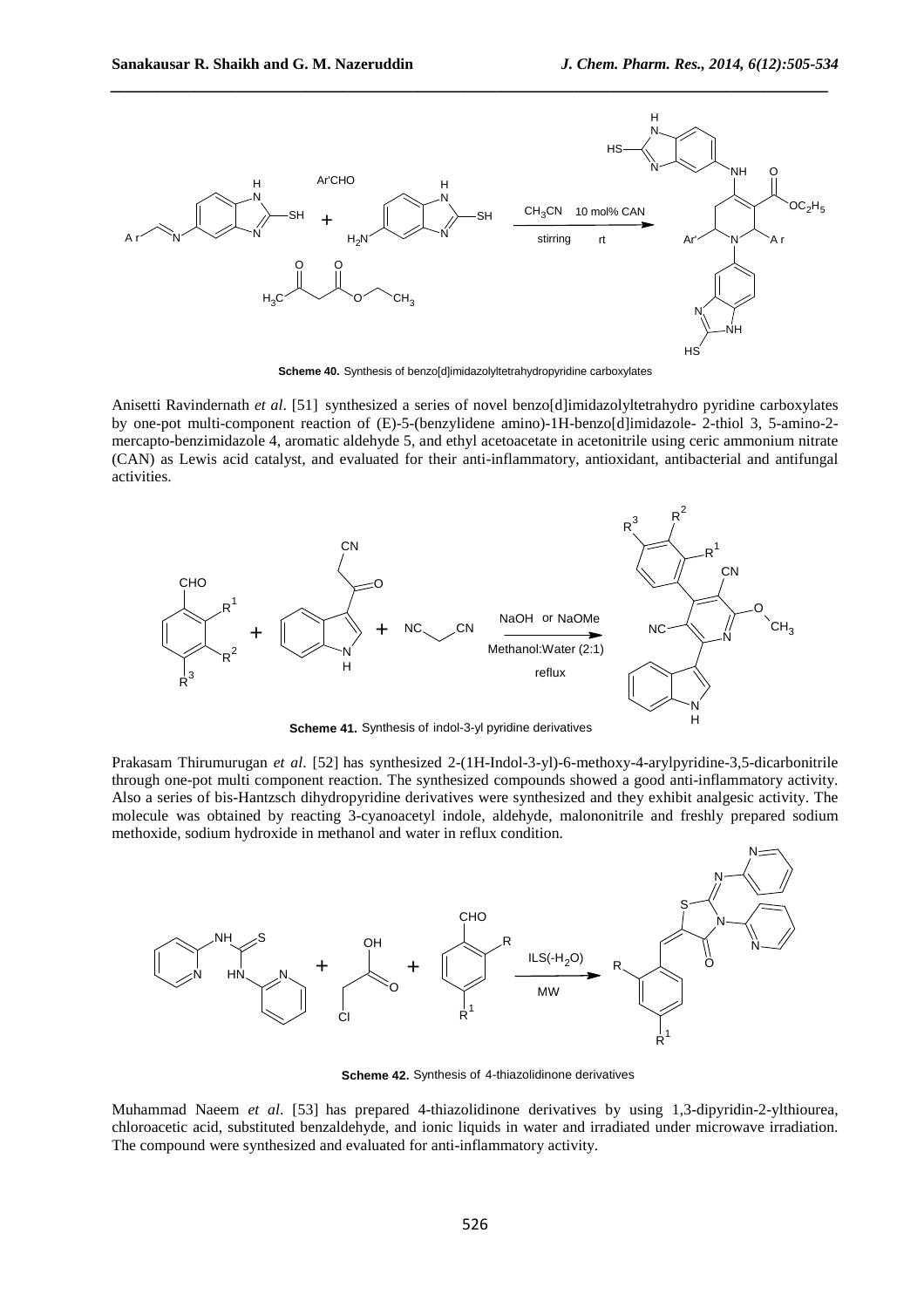

**Scheme 40.** Synthesis of benzo[d]imidazolyltetrahydropyridine carboxylates

Anisetti Ravindernath *et al*. [51] synthesized a series of novel benzo[d]imidazolyltetrahydro pyridine carboxylates by one-pot multi-component reaction of (E)-5-(benzylidene amino)-1H-benzo[d]imidazole- 2-thiol 3, 5-amino-2 mercapto-benzimidazole 4, aromatic aldehyde 5, and ethyl acetoacetate in acetonitrile using ceric ammonium nitrate (CAN) as Lewis acid catalyst, and evaluated for their anti-inflammatory, antioxidant, antibacterial and antifungal activities.



**Scheme 41.** Synthesis of indol-3-yl pyridine derivatives

Prakasam Thirumurugan *et al*. [52] has synthesized 2-(1H-Indol-3-yl)-6-methoxy-4-arylpyridine-3,5-dicarbonitrile through one-pot multi component reaction. The synthesized compounds showed a good anti-inflammatory activity. Also a series of bis-Hantzsch dihydropyridine derivatives were synthesized and they exhibit analgesic activity. The molecule was obtained by reacting 3-cyanoacetyl indole, aldehyde, malononitrile and freshly prepared sodium methoxide, sodium hydroxide in methanol and water in reflux condition.



**Scheme 42.** Synthesis of 4-thiazolidinone derivatives

Muhammad Naeem *et al*. [53] has prepared 4-thiazolidinone derivatives by using 1,3-dipyridin-2-ylthiourea, chloroacetic acid, substituted benzaldehyde, and ionic liquids in water and irradiated under microwave irradiation. The compound were synthesized and evaluated for anti-inflammatory activity.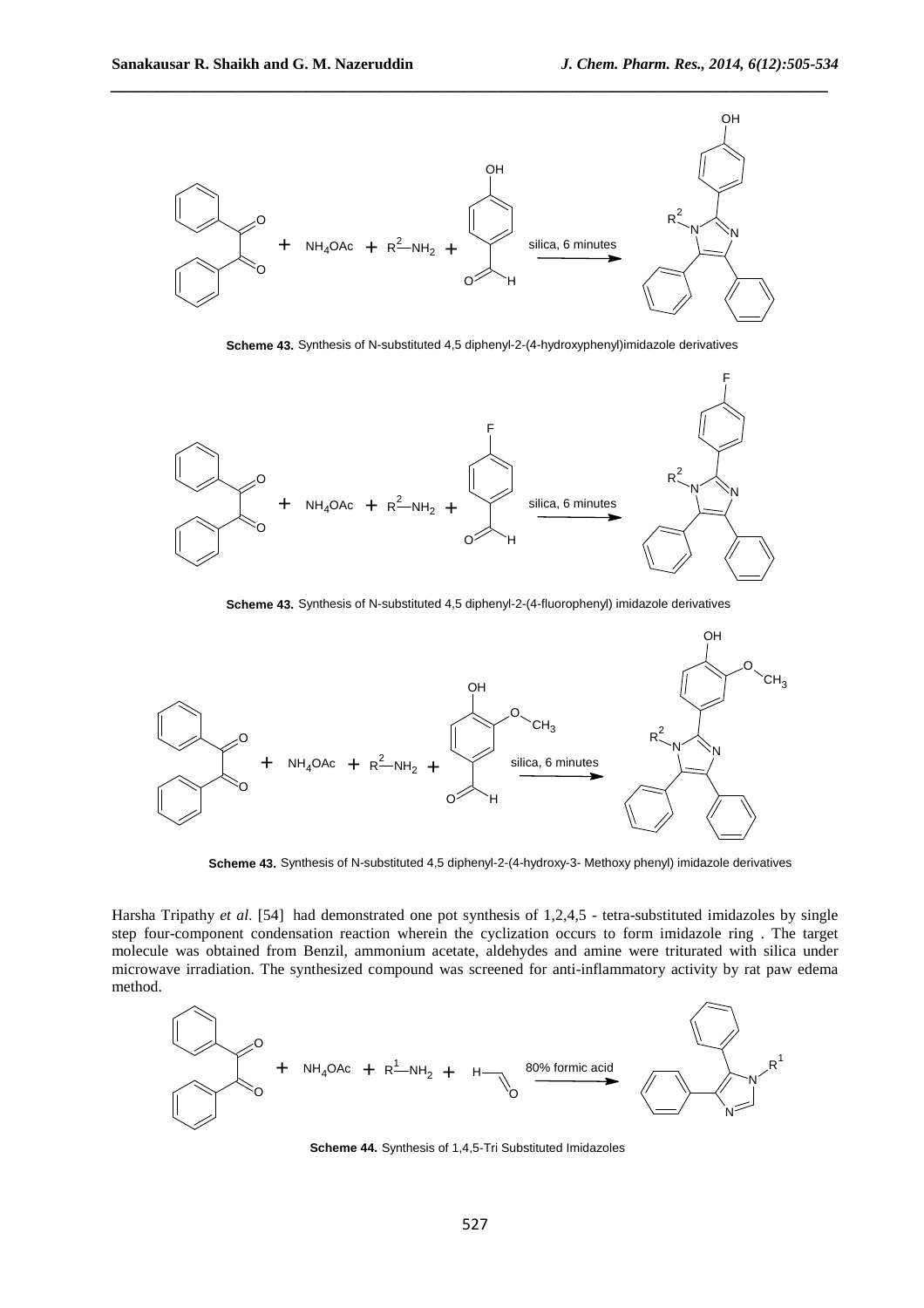

**Scheme 43.** Synthesis of N-substituted 4,5 diphenyl-2-(4-hydroxyphenyl)imidazole derivatives



**Scheme 43.** Synthesis of N-substituted 4,5 diphenyl-2-(4-fluorophenyl) imidazole derivatives



**Scheme 43.** Synthesis of N-substituted 4,5 diphenyl-2-(4-hydroxy-3- Methoxy phenyl) imidazole derivatives

Harsha Tripathy *et al*. [54] had demonstrated one pot synthesis of 1,2,4,5 - tetra-substituted imidazoles by single step four-component condensation reaction wherein the cyclization occurs to form imidazole ring . The target molecule was obtained from Benzil, ammonium acetate, aldehydes and amine were triturated with silica under microwave irradiation. The synthesized compound was screened for anti-inflammatory activity by rat paw edema method.



**Scheme 44.** Synthesis of 1,4,5-Tri Substituted Imidazoles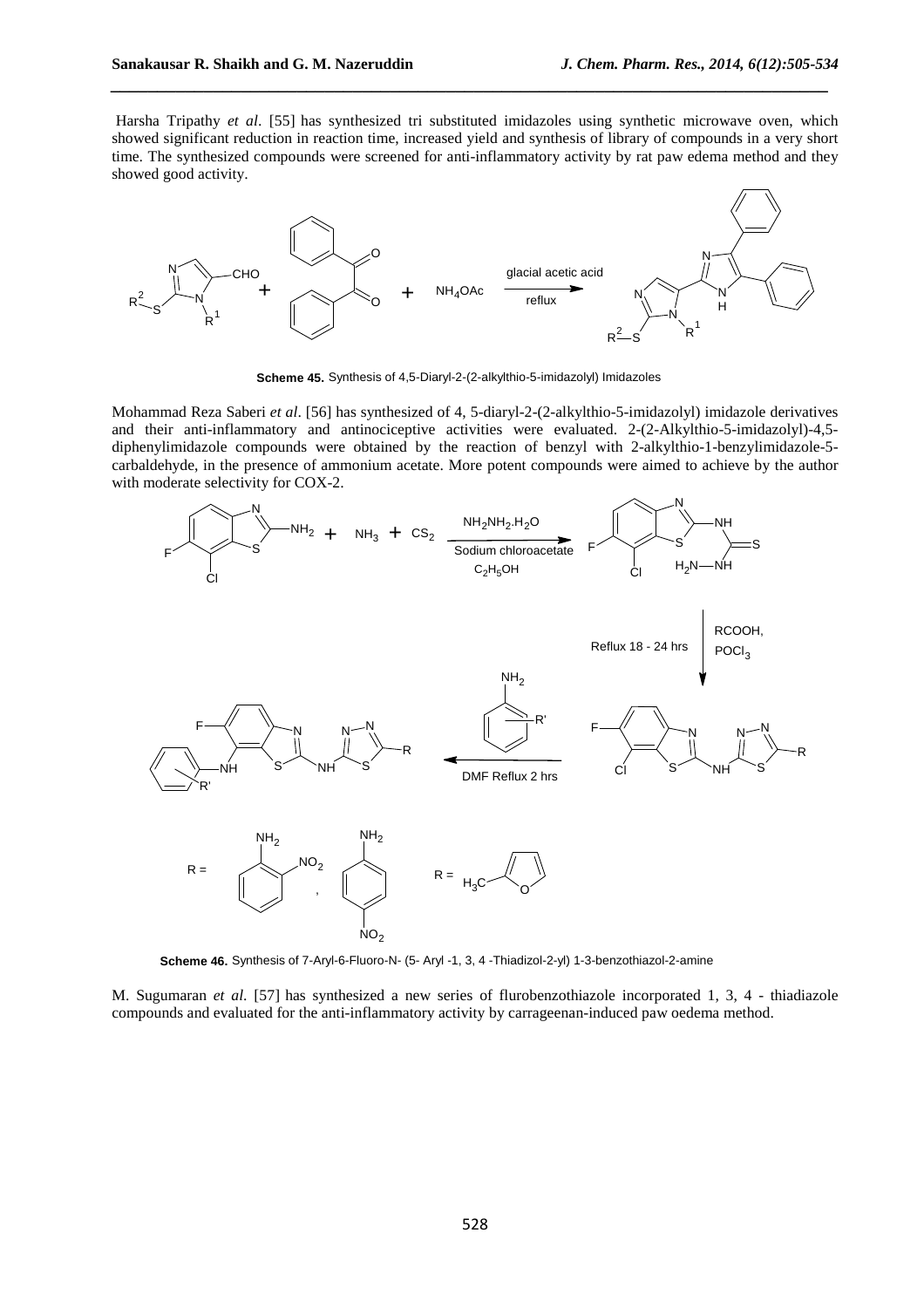Harsha Tripathy *et al.* [55] has synthesized tri substituted imidazoles using synthetic microwave oven, which showed significant reduction in reaction time, increased yield and synthesis of library of compounds in a very short time. The synthesized compounds were screened for anti-inflammatory activity by rat paw edema method and they showed good activity.

*\_\_\_\_\_\_\_\_\_\_\_\_\_\_\_\_\_\_\_\_\_\_\_\_\_\_\_\_\_\_\_\_\_\_\_\_\_\_\_\_\_\_\_\_\_\_\_\_\_\_\_\_\_\_\_\_\_\_\_\_\_\_\_\_\_\_\_\_\_\_\_\_\_\_\_\_\_*



**Scheme 45.** Synthesis of 4,5-Diaryl-2-(2-alkylthio-5-imidazolyl) Imidazoles

Mohammad Reza Saberi *et al*. [56] has synthesized of 4, 5-diaryl-2-(2-alkylthio-5-imidazolyl) imidazole derivatives and their anti-inflammatory and antinociceptive activities were evaluated. 2-(2-Alkylthio-5-imidazolyl)-4,5 diphenylimidazole compounds were obtained by the reaction of benzyl with 2-alkylthio-1-benzylimidazole-5 carbaldehyde, in the presence of ammonium acetate. More potent compounds were aimed to achieve by the author with moderate selectivity for COX-2.



**Scheme 46.** Synthesis of 7-Aryl-6-Fluoro-N- (5- Aryl -1, 3, 4 -Thiadizol-2-yl) 1-3-benzothiazol-2-amine

M. Sugumaran *et al*. [57] has synthesized a new series of flurobenzothiazole incorporated 1, 3, 4 - thiadiazole compounds and evaluated for the anti-inflammatory activity by carrageenan-induced paw oedema method.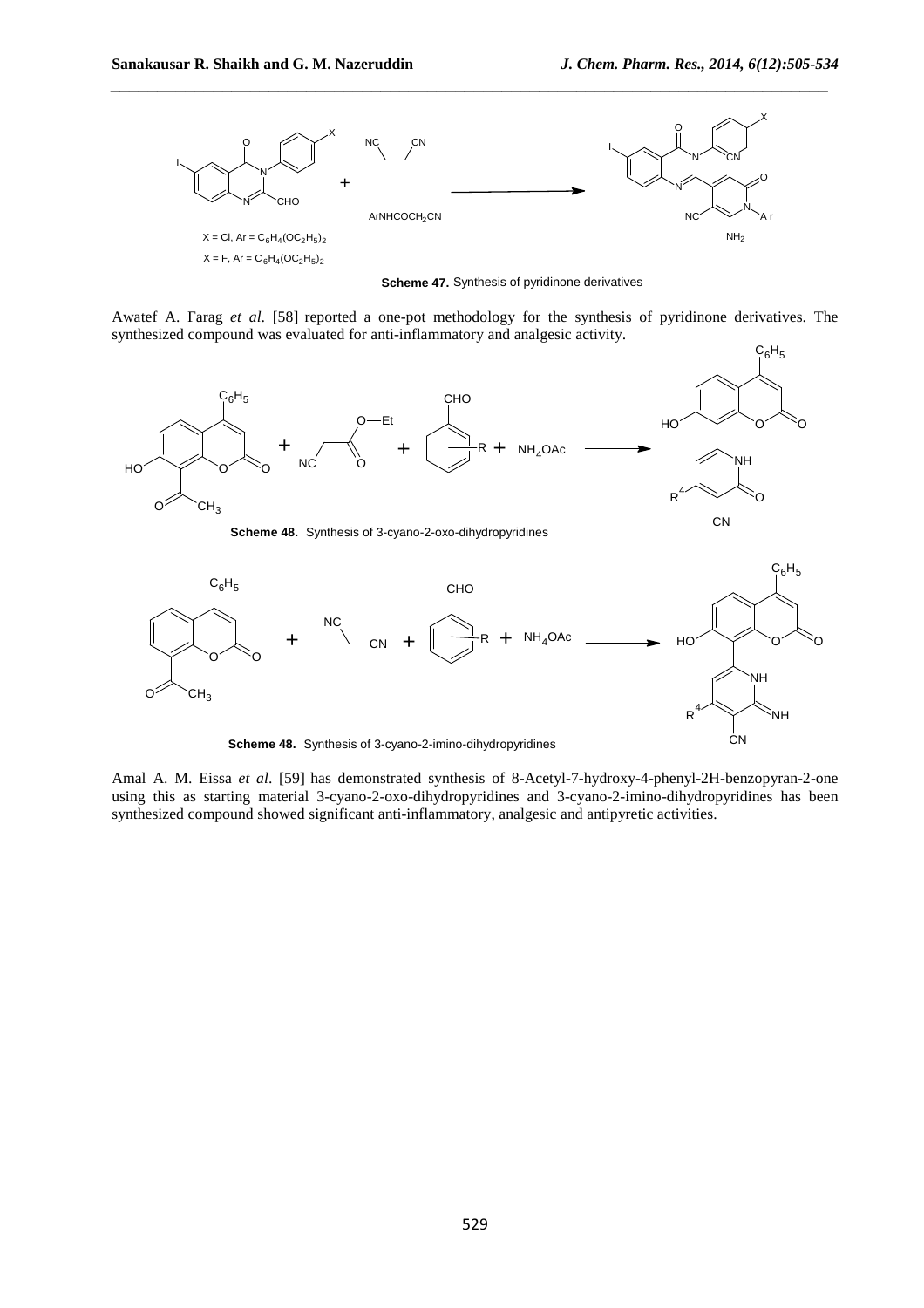**CN** 



*\_\_\_\_\_\_\_\_\_\_\_\_\_\_\_\_\_\_\_\_\_\_\_\_\_\_\_\_\_\_\_\_\_\_\_\_\_\_\_\_\_\_\_\_\_\_\_\_\_\_\_\_\_\_\_\_\_\_\_\_\_\_\_\_\_\_\_\_\_\_\_\_\_\_\_\_\_*

**Scheme 47.** Synthesis of pyridinone derivatives

Awatef A. Farag *et al*. [58] reported a one-pot methodology for the synthesis of pyridinone derivatives. The synthesized compound was evaluated for anti-inflammatory and analgesic activity.



**Scheme 48.** Synthesis of 3-cyano-2-imino-dihydropyridines

Amal A. M. Eissa *et al*. [59] has demonstrated synthesis of 8-Acetyl-7-hydroxy-4-phenyl-2H-benzopyran-2-one using this as starting material 3-cyano-2-oxo-dihydropyridines and 3-cyano-2-imino-dihydropyridines has been synthesized compound showed significant anti-inflammatory, analgesic and antipyretic activities.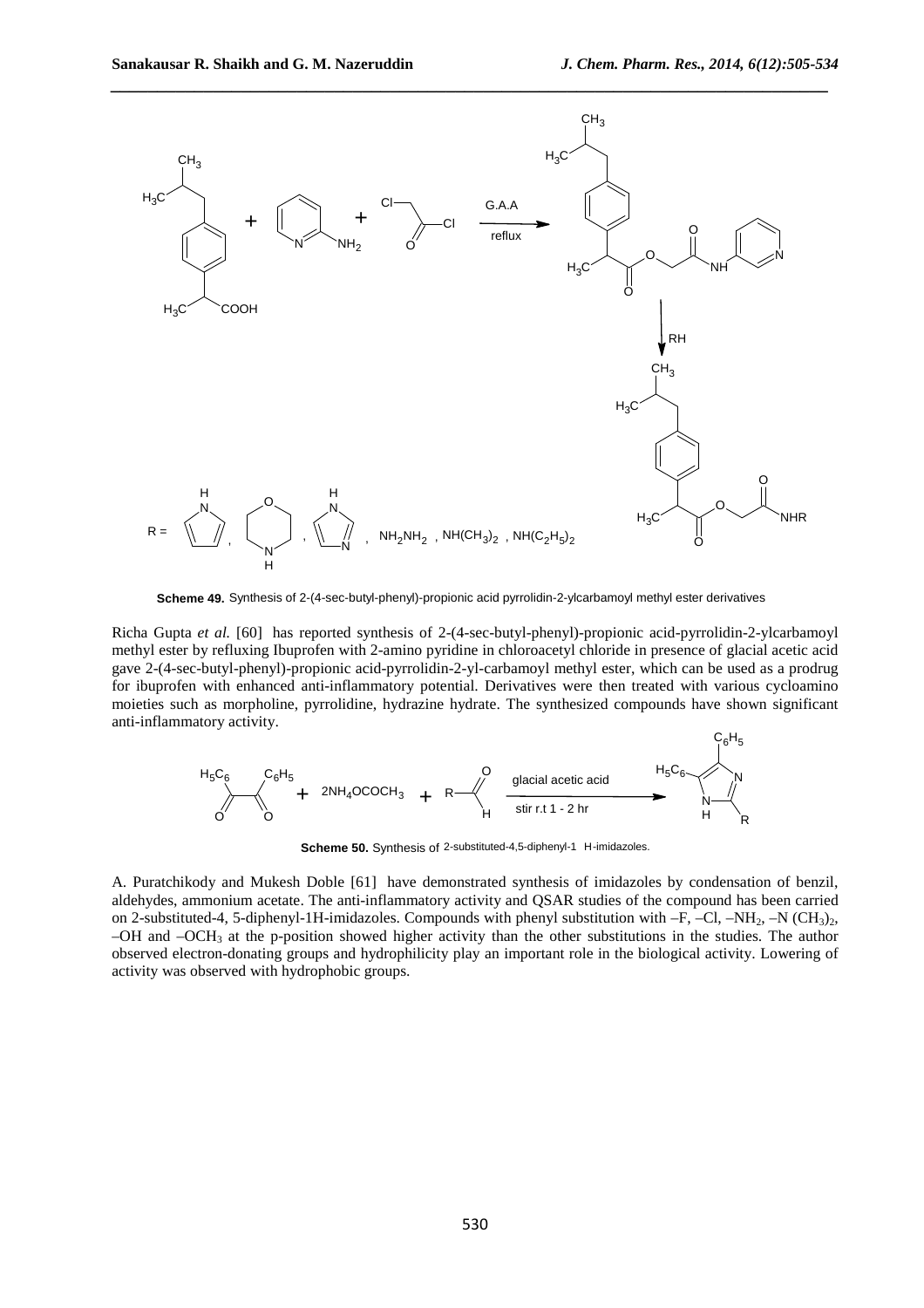$C_eH_E$ 



**Scheme 49.** Synthesis of 2-(4-sec-butyl-phenyl)-propionic acid pyrrolidin-2-ylcarbamoyl methyl ester derivatives

Richa Gupta *et al.* [60] has reported synthesis of 2-(4-sec-butyl-phenyl)-propionic acid-pyrrolidin-2-ylcarbamoyl methyl ester by refluxing Ibuprofen with 2-amino pyridine in chloroacetyl chloride in presence of glacial acetic acid gave 2-(4-sec-butyl-phenyl)-propionic acid-pyrrolidin-2-yl-carbamoyl methyl ester, which can be used as a prodrug for ibuprofen with enhanced anti-inflammatory potential. Derivatives were then treated with various cycloamino moieties such as morpholine, pyrrolidine, hydrazine hydrate. The synthesized compounds have shown significant anti-inflammatory activity.

$$
H_5C_6
$$
\n
$$
C_6H_5
$$
\n
$$
+ 2NH_4OCOCH_3 + R
$$
\n
$$
H_5C_6
$$
\n
$$
+ 2NH_4OCOCH_3 + R
$$
\n
$$
H_5C_6
$$
\n
$$
+ 2NH_4OCOCH_3 + R
$$
\n
$$
+ R
$$
\n
$$
+ 2NH_4OCOCH_3 + R
$$

**Scheme 50.** Synthesis of 2-substituted-4,5-diphenyl-1 H-imidazoles.

A. Puratchikody and Mukesh Doble [61] have demonstrated synthesis of imidazoles by condensation of benzil, aldehydes, ammonium acetate. The anti-inflammatory activity and QSAR studies of the compound has been carried on 2-substituted-4, 5-diphenyl-1H-imidazoles. Compounds with phenyl substitution with  $-F$ ,  $-Cl$ ,  $-NH<sub>2</sub>$ ,  $-N$  ( $CH<sub>3</sub>$ )<sub>2</sub>, –OH and  $-OCH<sub>3</sub>$  at the p-position showed higher activity than the other substitutions in the studies. The author observed electron-donating groups and hydrophilicity play an important role in the biological activity. Lowering of activity was observed with hydrophobic groups.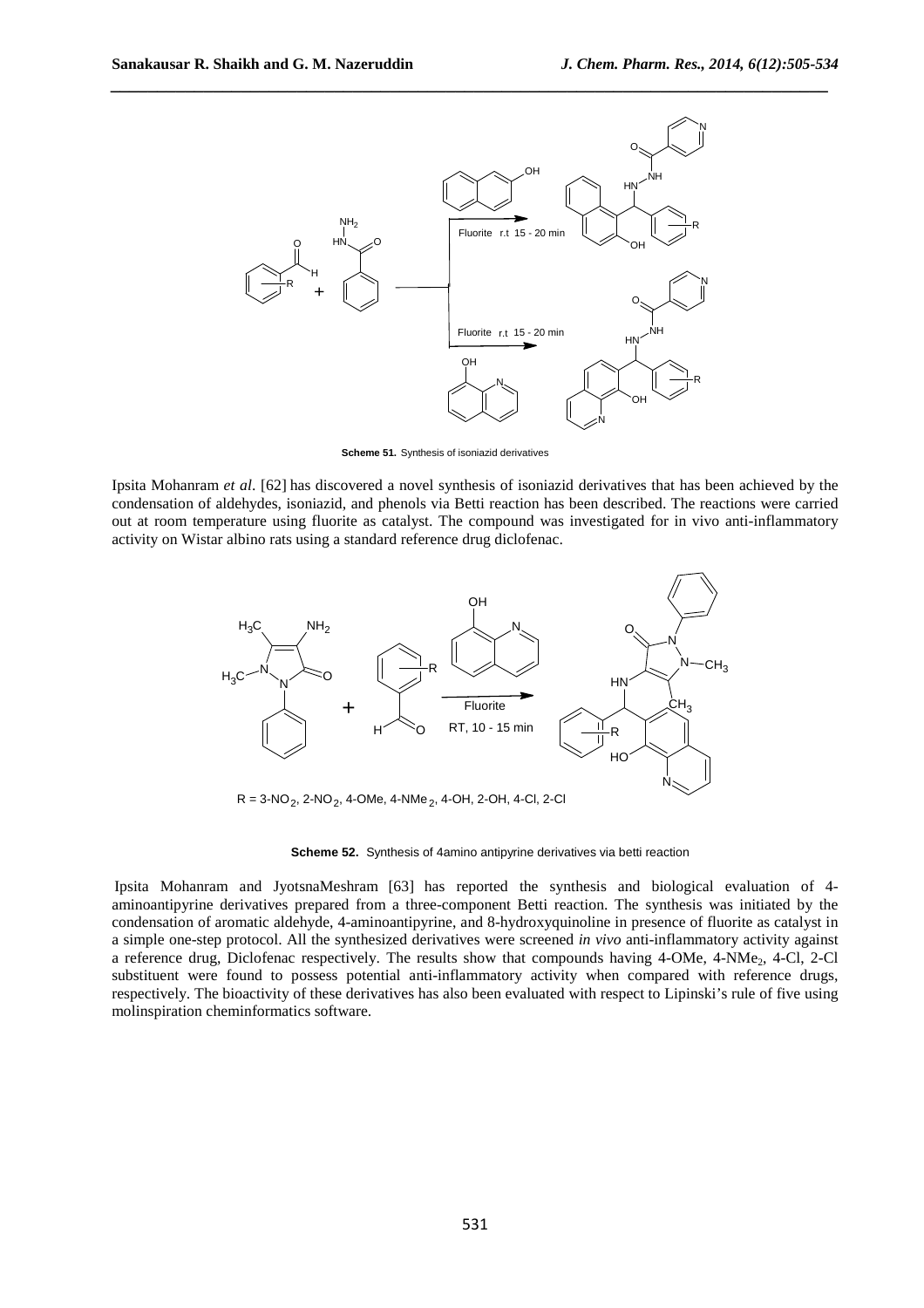

**Scheme 51.** Synthesis of isoniazid derivatives

Ipsita Mohanram *et al*. [62] has discovered a novel synthesis of isoniazid derivatives that has been achieved by the condensation of aldehydes, isoniazid, and phenols via Betti reaction has been described. The reactions were carried out at room temperature using fluorite as catalyst. The compound was investigated for in vivo anti-inflammatory activity on Wistar albino rats using a standard reference drug diclofenac.



**Scheme 52.** Synthesis of 4amino antipyrine derivatives via betti reaction

Ipsita Mohanram and JyotsnaMeshram [63] has reported the synthesis and biological evaluation of 4 aminoantipyrine derivatives prepared from a three-component Betti reaction. The synthesis was initiated by the condensation of aromatic aldehyde, 4-aminoantipyrine, and 8-hydroxyquinoline in presence of fluorite as catalyst in a simple one-step protocol. All the synthesized derivatives were screened *in vivo* anti-inflammatory activity against a reference drug, Diclofenac respectively. The results show that compounds having 4-OMe, 4-NMe<sub>2</sub>, 4-Cl, 2-Cl substituent were found to possess potential anti-inflammatory activity when compared with reference drugs, respectively. The bioactivity of these derivatives has also been evaluated with respect to Lipinski's rule of five using molinspiration cheminformatics software.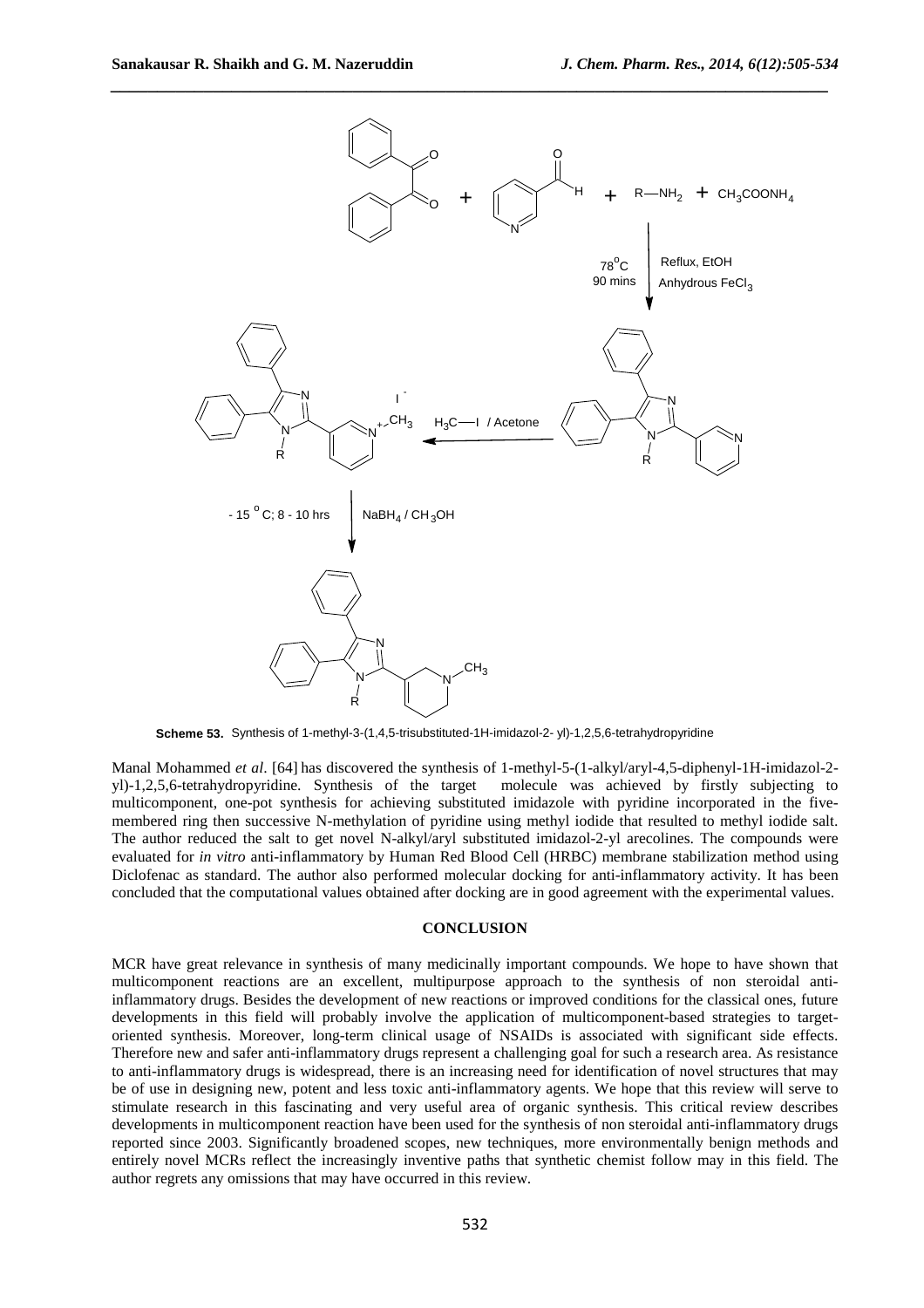

**Scheme 53.** Synthesis of 1-methyl-3-(1,4,5-trisubstituted-1H-imidazol-2- yl)-1,2,5,6-tetrahydropyridine

Manal Mohammed *et al*. [64] has discovered the synthesis of 1-methyl-5-(1-alkyl/aryl-4,5-diphenyl-1H-imidazol-2 yl)-1,2,5,6-tetrahydropyridine. Synthesis of the target molecule was achieved by firstly subjecting to multicomponent, one-pot synthesis for achieving substituted imidazole with pyridine incorporated in the fivemembered ring then successive N-methylation of pyridine using methyl iodide that resulted to methyl iodide salt. The author reduced the salt to get novel N-alkyl/aryl substituted imidazol-2-yl arecolines. The compounds were evaluated for *in vitro* anti-inflammatory by Human Red Blood Cell (HRBC) membrane stabilization method using Diclofenac as standard. The author also performed molecular docking for anti-inflammatory activity. It has been concluded that the computational values obtained after docking are in good agreement with the experimental values.

## **CONCLUSION**

MCR have great relevance in synthesis of many medicinally important compounds. We hope to have shown that multicomponent reactions are an excellent, multipurpose approach to the synthesis of non steroidal antiinflammatory drugs. Besides the development of new reactions or improved conditions for the classical ones, future developments in this field will probably involve the application of multicomponent-based strategies to targetoriented synthesis. Moreover, long-term clinical usage of NSAIDs is associated with significant side effects. Therefore new and safer anti-inflammatory drugs represent a challenging goal for such a research area. As resistance to anti-inflammatory drugs is widespread, there is an increasing need for identification of novel structures that may be of use in designing new, potent and less toxic anti-inflammatory agents. We hope that this review will serve to stimulate research in this fascinating and very useful area of organic synthesis. This critical review describes developments in multicomponent reaction have been used for the synthesis of non steroidal anti-inflammatory drugs reported since 2003. Significantly broadened scopes, new techniques, more environmentally benign methods and entirely novel MCRs reflect the increasingly inventive paths that synthetic chemist follow may in this field. The author regrets any omissions that may have occurred in this review.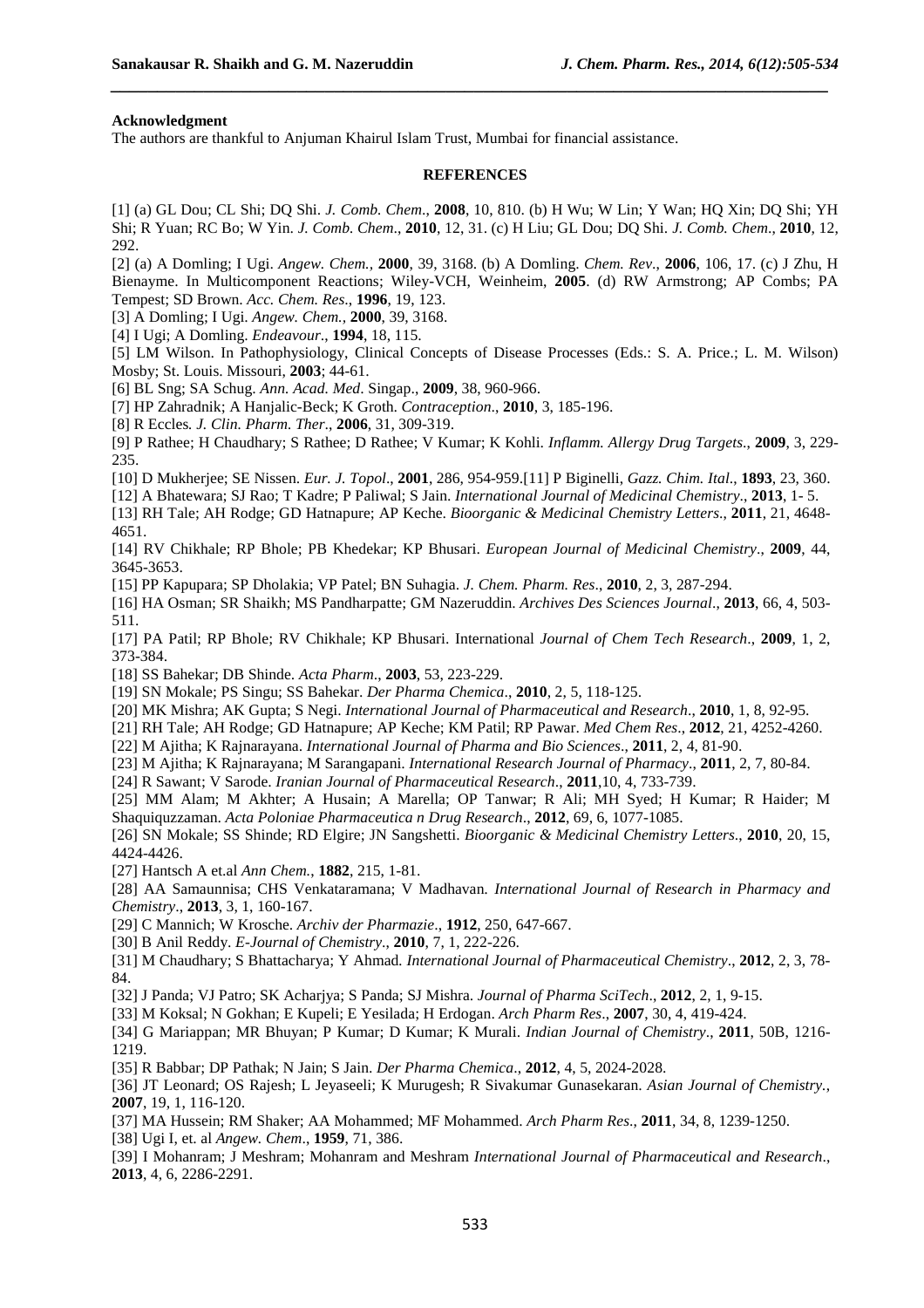#### **Acknowledgment**

The authors are thankful to Anjuman Khairul Islam Trust, Mumbai for financial assistance.

#### **REFERENCES**

*\_\_\_\_\_\_\_\_\_\_\_\_\_\_\_\_\_\_\_\_\_\_\_\_\_\_\_\_\_\_\_\_\_\_\_\_\_\_\_\_\_\_\_\_\_\_\_\_\_\_\_\_\_\_\_\_\_\_\_\_\_\_\_\_\_\_\_\_\_\_\_\_\_\_\_\_\_*

[1] (a) GL Dou; CL Shi; DQ Shi. *J. Comb. Chem*., **2008**, 10, 810. (b) H Wu; W Lin; Y Wan; HQ Xin; DQ Shi; YH Shi; R Yuan; RC Bo; W Yin. *J. Comb. Chem*., **2010**, 12, 31. (c) H Liu; GL Dou; DQ Shi. *J. Comb. Chem*., **2010**, 12, 292.

[2] (a) A Domling; I Ugi. *Angew. Chem.,* **2000**, 39, 3168. (b) A Domling. *Chem. Rev*., **2006**, 106, 17. (c) J Zhu, H Bienayme. In Multicomponent Reactions; Wiley-VCH, Weinheim, **2005**. (d) RW Armstrong; AP Combs; PA Tempest; SD Brown. *Acc. Chem. Res*., **1996**, 19, 123.

[3] A Domling; I Ugi. *Angew. Chem.,* **2000**, 39, 3168.

[4] I Ugi; A Domling. *Endeavour*., **1994**, 18, 115.

[5] LM Wilson. In Pathophysiology, Clinical Concepts of Disease Processes (Eds.: S. A. Price.; L. M. Wilson) Mosby; St. Louis. Missouri, **2003**; 44-61.

[6] BL Sng; SA Schug. *Ann. Acad. Med*. Singap., **2009**, 38, 960-966.

[7] HP Zahradnik; A Hanjalic-Beck; K Groth. *Contraception*., **2010**, 3, 185-196.

[8] R Eccles*. J. Clin. Pharm. Ther*., **2006**, 31, 309-319.

[9] P Rathee; H Chaudhary; S Rathee; D Rathee; V Kumar; K Kohli. *Inflamm. Allergy Drug Targets*., **2009**, 3, 229- 235.

[10] D Mukherjee; SE Nissen. *Eur. J. Topol*., **2001**, 286, 954-959.[11] P Biginelli, *Gazz. Chim. Ital*., **1893**, 23, 360.

[12] A Bhatewara; SJ Rao; T Kadre; P Paliwal; S Jain. *International Journal of Medicinal Chemistry*., **2013**, 1- 5.

[13] RH Tale; AH Rodge; GD Hatnapure; AP Keche. *Bioorganic & Medicinal Chemistry Letters*., **2011**, 21, 4648- 4651.

[14] RV Chikhale; RP Bhole; PB Khedekar; KP Bhusari. *European Journal of Medicinal Chemistry*., **2009**, 44, 3645-3653.

[15] PP Kapupara; SP Dholakia; VP Patel; BN Suhagia. *J. Chem. Pharm. Res*., **2010**, 2, 3, 287-294.

[16] HA Osman; SR Shaikh; MS Pandharpatte; GM Nazeruddin. *Archives Des Sciences Journal*., **2013**, 66, 4, 503- 511.

[17] PA Patil; RP Bhole; RV Chikhale; KP Bhusari. International *Journal of Chem Tech Research*., **2009**, 1, 2, 373-384.

[18] SS Bahekar; DB Shinde. *Acta Pharm*., **2003**, 53, 223-229.

[19] SN Mokale; PS Singu; SS Bahekar. *Der Pharma Chemica*., **2010**, 2, 5, 118-125.

[20] MK Mishra; AK Gupta; S Negi. *International Journal of Pharmaceutical and Research*., **2010**, 1, 8, 92-95.

[21] RH Tale; AH Rodge; GD Hatnapure; AP Keche; KM Patil; RP Pawar. *Med Chem Res*., **2012**, 21, 4252-4260.

[22] M Ajitha; K Rajnarayana. *International Journal of Pharma and Bio Sciences*., **2011**, 2, 4, 81-90.

[23] M Ajitha; K Rajnarayana; M Sarangapani. *International Research Journal of Pharmacy*., **2011**, 2, 7, 80-84.

[24] R Sawant; V Sarode. *Iranian Journal of Pharmaceutical Research*., **2011**,10, 4, 733-739.

[25] MM Alam; M Akhter; A Husain; A Marella; OP Tanwar; R Ali; MH Syed; H Kumar; R Haider; M Shaquiquzzaman. *Acta Poloniae Pharmaceutica n Drug Research*., **2012**, 69, 6, 1077-1085.

[26] SN Mokale; SS Shinde; RD Elgire; JN Sangshetti. *Bioorganic & Medicinal Chemistry Letters*., **2010**, 20, 15, 4424-4426.

[27] Hantsch A et.al *Ann Chem.*, **1882**, 215, 1-81.

[28] AA Samaunnisa; CHS Venkataramana; V Madhavan*. International Journal of Research in Pharmacy and Chemistry*., **2013**, 3, 1, 160-167.

[29] C Mannich; W Krosche. *Archiv der Pharmazie*., **1912**, 250, 647-667.

[30] B Anil Reddy. *E-Journal of Chemistry*., **2010**, 7, 1, 222-226.

[31] M Chaudhary; S Bhattacharya; Y Ahmad*. International Journal of Pharmaceutical Chemistry*., **2012**, 2, 3, 78- 84.

[32] J Panda; VJ Patro; SK Acharjya; S Panda; SJ Mishra. *Journal of Pharma SciTech*., **2012**, 2, 1, 9-15.

[33] M Koksal; N Gokhan; E Kupeli; E Yesilada; H Erdogan. *Arch Pharm Res*., **2007**, 30, 4, 419-424.

[34] G Mariappan; MR Bhuyan; P Kumar; D Kumar; K Murali. *Indian Journal of Chemistry*., **2011**, 50B, 1216- 1219.

[35] R Babbar; DP Pathak; N Jain; S Jain. *Der Pharma Chemica*., **2012**, 4, 5, 2024-2028.

[36] JT Leonard; OS Rajesh; L Jeyaseeli; K Murugesh; R Sivakumar Gunasekaran. *Asian Journal of Chemistry.*, **2007**, 19, 1, 116-120.

[37] MA Hussein; RM Shaker; AA Mohammed; MF Mohammed. *Arch Pharm Res*., **2011**, 34, 8, 1239-1250. [38] Ugi I, et. al *Angew. Chem*., **1959**, 71, 386.

[39] I Mohanram; J Meshram; Mohanram and Meshram *International Journal of Pharmaceutical and Research*., **2013**, 4, 6, 2286-2291.